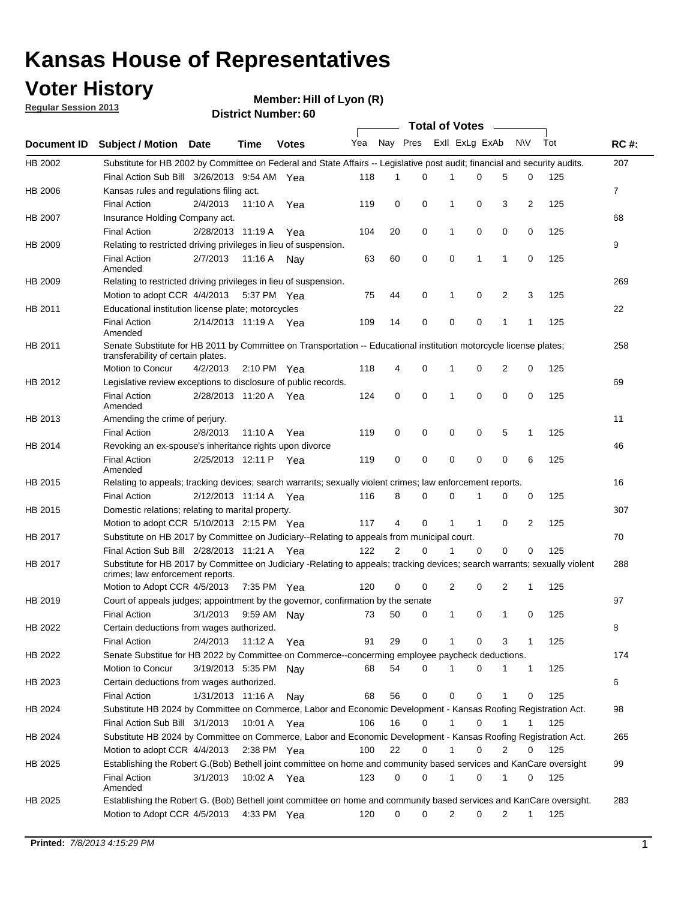## **Voter History**

**Member: Hill of Lyon (R)** 

**Regular Session 2013**

|                    |                                                                                                                                                                |                       | טט וסווווטנו ואווווטר |              |                             |             | Total of Votes _____ |              |              |                |                |     |                |
|--------------------|----------------------------------------------------------------------------------------------------------------------------------------------------------------|-----------------------|-----------------------|--------------|-----------------------------|-------------|----------------------|--------------|--------------|----------------|----------------|-----|----------------|
| <b>Document ID</b> | <b>Subject / Motion Date</b>                                                                                                                                   |                       | <b>Time</b>           | <b>Votes</b> | Yea Nay Pres ExII ExLg ExAb |             |                      |              |              |                | N\V            | Tot | <b>RC#:</b>    |
| HB 2002            | Substitute for HB 2002 by Committee on Federal and State Affairs -- Legislative post audit; financial and security audits.                                     |                       |                       |              |                             |             |                      |              |              |                |                |     | 207            |
|                    | Final Action Sub Bill 3/26/2013 9:54 AM Yea                                                                                                                    |                       |                       |              | 118                         | 1           | 0                    |              | 0            | 5              | 0              | 125 |                |
| HB 2006            | Kansas rules and regulations filing act.                                                                                                                       |                       |                       |              |                             |             |                      |              |              |                |                |     | $\overline{7}$ |
|                    | <b>Final Action</b>                                                                                                                                            | 2/4/2013              | 11:10 A Yea           |              | 119                         | 0           | 0                    | $\mathbf 1$  | 0            | 3              | $\overline{2}$ | 125 |                |
| HB 2007            | Insurance Holding Company act.                                                                                                                                 |                       |                       |              |                             |             |                      |              |              |                |                |     | 68             |
|                    | <b>Final Action</b>                                                                                                                                            | 2/28/2013 11:19 A     |                       | Yea          | 104                         | 20          | 0                    | 1            | 0            | 0              | 0              | 125 |                |
| HB 2009            | Relating to restricted driving privileges in lieu of suspension.                                                                                               |                       |                       |              |                             |             |                      |              |              |                |                |     | 9              |
|                    | <b>Final Action</b><br>Amended                                                                                                                                 | 2/7/2013              | 11:16 A Nay           |              | 63                          | 60          | $\mathbf 0$          | 0            | $\mathbf 1$  | 1              | 0              | 125 |                |
| HB 2009            | Relating to restricted driving privileges in lieu of suspension.                                                                                               |                       |                       |              |                             |             |                      |              |              |                |                |     | 269            |
|                    | Motion to adopt CCR 4/4/2013                                                                                                                                   |                       | 5:37 PM Yea           |              | 75                          | 44          | $\mathbf 0$          | 1            | 0            | $\overline{2}$ | 3              | 125 |                |
| HB 2011            | Educational institution license plate; motorcycles                                                                                                             |                       |                       |              |                             |             |                      |              |              |                |                |     | 22             |
|                    | <b>Final Action</b><br>Amended                                                                                                                                 | 2/14/2013 11:19 A Yea |                       |              | 109                         | 14          | 0                    | 0            | 0            | 1              | 1              | 125 |                |
| HB 2011            | Senate Substitute for HB 2011 by Committee on Transportation -- Educational institution motorcycle license plates;                                             |                       |                       |              |                             |             |                      |              |              |                |                |     | 258            |
|                    | transferability of certain plates.                                                                                                                             |                       |                       |              |                             |             |                      |              |              |                |                |     |                |
|                    | Motion to Concur                                                                                                                                               | 4/2/2013              | 2:10 PM $Yea$         |              | 118                         | 4           | 0                    | $\mathbf 1$  | 0            | 2              | 0              | 125 |                |
| HB 2012            | Legislative review exceptions to disclosure of public records.                                                                                                 |                       |                       |              |                             |             |                      |              |              |                |                |     | 69             |
|                    | <b>Final Action</b><br>Amended                                                                                                                                 | 2/28/2013 11:20 A Yea |                       |              | 124                         | $\mathbf 0$ | $\mathbf 0$          | $\mathbf{1}$ | 0            | 0              | 0              | 125 |                |
| HB 2013            | Amending the crime of perjury.                                                                                                                                 |                       |                       |              |                             |             |                      |              |              |                |                |     | 11             |
|                    | <b>Final Action</b>                                                                                                                                            | 2/8/2013              | 11:10 A               | Yea          | 119                         | 0           | 0                    | 0            | 0            | 5              | 1              | 125 |                |
| HB 2014            | Revoking an ex-spouse's inheritance rights upon divorce                                                                                                        |                       |                       |              |                             |             |                      |              |              |                |                |     | 46             |
|                    | <b>Final Action</b><br>Amended                                                                                                                                 | 2/25/2013 12:11 P Yea |                       |              | 119                         | 0           | 0                    | 0            | 0            | 0              | 6              | 125 |                |
| HB 2015            | Relating to appeals; tracking devices; search warrants; sexually violent crimes; law enforcement reports.                                                      |                       |                       |              |                             |             |                      |              |              |                |                |     | 16             |
|                    | <b>Final Action</b>                                                                                                                                            | 2/12/2013 11:14 A     |                       | Yea          | 116                         | 8           | 0                    | 0            | 1            | 0              | 0              | 125 |                |
| HB 2015            | Domestic relations; relating to marital property.                                                                                                              |                       |                       |              |                             |             |                      |              |              |                |                |     | 307            |
|                    | Motion to adopt CCR 5/10/2013 2:15 PM Yea                                                                                                                      |                       |                       |              | 117                         | 4           | $\mathbf 0$          | $\mathbf{1}$ | $\mathbf{1}$ | 0              | 2              | 125 |                |
| HB 2017            | Substitute on HB 2017 by Committee on Judiciary--Relating to appeals from municipal court.                                                                     |                       |                       |              |                             |             |                      |              |              |                |                |     | 70             |
|                    | Final Action Sub Bill 2/28/2013 11:21 A Yea                                                                                                                    |                       |                       |              | 122                         | 2           | 0                    | 1            | $\Omega$     | 0              | 0              | 125 |                |
| HB 2017            | Substitute for HB 2017 by Committee on Judiciary -Relating to appeals; tracking devices; search warrants; sexually violent<br>crimes; law enforcement reports. |                       |                       |              |                             |             |                      |              |              |                |                |     | 288            |
|                    | Motion to Adopt CCR 4/5/2013                                                                                                                                   |                       | 7:35 PM Yea           |              | 120                         | 0           | $\mathbf 0$          | 2            | 0            | $\overline{2}$ | 1              | 125 |                |
| HB 2019            | Court of appeals judges; appointment by the governor, confirmation by the senate                                                                               |                       |                       |              |                             |             |                      |              |              |                |                |     | 97             |
|                    | <b>Final Action</b>                                                                                                                                            | 3/1/2013              | 9:59 AM Nay           |              | 73                          | 50          | 0                    | $\mathbf{1}$ | 0            | 1              | 0              | 125 |                |
| HB 2022            | Certain deductions from wages authorized.                                                                                                                      |                       |                       |              |                             |             |                      |              |              |                |                |     | В              |
|                    | <b>Final Action</b>                                                                                                                                            | 2/4/2013              | 11:12 A               | Yea          | 91                          | 29          | 0                    |              | 0            | 3              | 1              | 125 |                |
| HB 2022            | Senate Substitue for HB 2022 by Committee on Commerce--concerming employee paycheck deductions.                                                                |                       |                       |              |                             |             |                      |              |              |                |                |     | 174            |
|                    | Motion to Concur                                                                                                                                               | 3/19/2013 5:35 PM Nav |                       |              | 68                          | 54          | 0                    | 1            | 0            | 1              | $\mathbf{1}$   | 125 |                |
| HB 2023            | Certain deductions from wages authorized.                                                                                                                      |                       |                       |              |                             |             |                      |              |              |                |                |     | 6              |
|                    | <b>Final Action</b>                                                                                                                                            | 1/31/2013 11:16 A     |                       | Nay          | 68                          | 56          | 0                    | 0            | 0            | 1              | 0              | 125 |                |
| HB 2024            | Substitute HB 2024 by Committee on Commerce, Labor and Economic Development - Kansas Roofing Registration Act.                                                 |                       |                       |              |                             |             |                      |              |              |                |                |     | 98             |
|                    | Final Action Sub Bill 3/1/2013                                                                                                                                 |                       | 10:01 A Yea           |              | 106                         | 16          | 0                    | $\mathbf{1}$ | 0            | 1              | 1              | 125 |                |
| HB 2024            | Substitute HB 2024 by Committee on Commerce, Labor and Economic Development - Kansas Roofing Registration Act.                                                 |                       |                       |              |                             |             |                      |              |              |                |                |     | 265            |
|                    | Motion to adopt CCR 4/4/2013                                                                                                                                   |                       | $2:38$ PM Yea         |              | 100                         | 22          | 0                    | $\mathbf{1}$ | 0            | 2              | 0              | 125 |                |
| HB 2025            | Establishing the Robert G.(Bob) Bethell joint committee on home and community based services and KanCare oversight                                             |                       |                       |              |                             |             |                      |              |              |                |                |     | 99             |
|                    | <b>Final Action</b><br>Amended                                                                                                                                 | 3/1/2013              | 10:02 A Yea           |              | 123                         | 0           | 0                    | $\mathbf{1}$ | 0            | 1              | 0              | 125 |                |
| HB 2025            | Establishing the Robert G. (Bob) Bethell joint committee on home and community based services and KanCare oversight.                                           |                       |                       |              |                             |             |                      |              |              |                |                |     | 283            |
|                    | Motion to Adopt CCR 4/5/2013                                                                                                                                   |                       | 4:33 PM Yea           |              | 120                         | 0           | 0                    | 2            | 0            | 2              | 1              | 125 |                |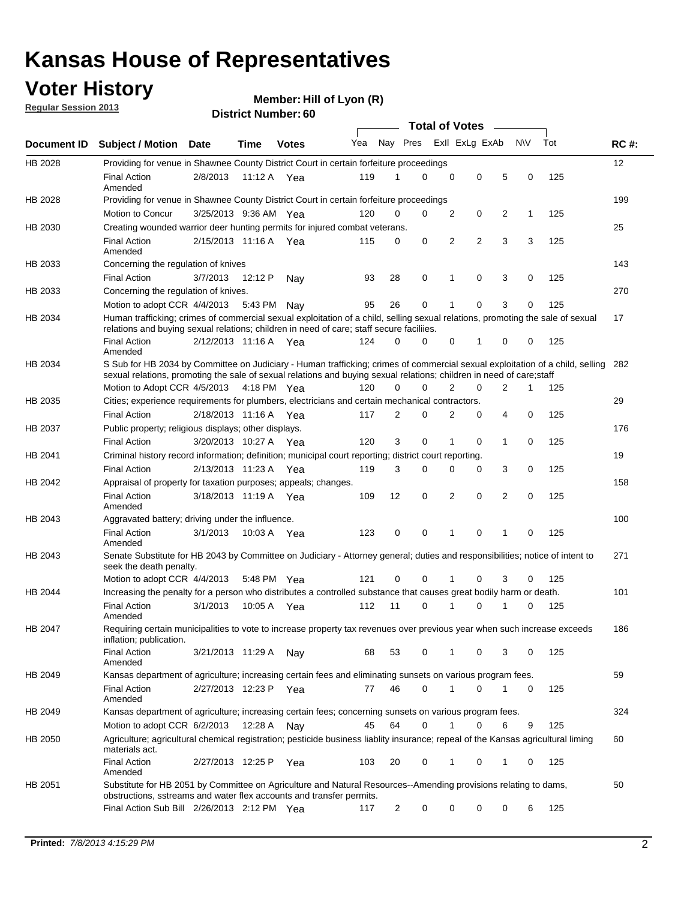## **Voter History**

**Member: Hill of Lyon (R)** 

**Regular Session 2013**

|             |                                                                                                                                                                                                                                                       |                       |         |              |     |                | <b>Total of Votes</b> |   |                |                |           |     |             |
|-------------|-------------------------------------------------------------------------------------------------------------------------------------------------------------------------------------------------------------------------------------------------------|-----------------------|---------|--------------|-----|----------------|-----------------------|---|----------------|----------------|-----------|-----|-------------|
| Document ID | <b>Subject / Motion Date</b>                                                                                                                                                                                                                          |                       | Time    | <b>Votes</b> | Yea | Nay Pres       |                       |   | Exll ExLg ExAb |                | <b>NV</b> | Tot | <b>RC#:</b> |
| HB 2028     | Providing for venue in Shawnee County District Court in certain forfeiture proceedings                                                                                                                                                                |                       |         |              |     |                |                       |   |                |                |           |     | 12          |
|             | <b>Final Action</b><br>Amended                                                                                                                                                                                                                        | 2/8/2013              |         | 11:12 A Yea  | 119 | 1              | $\Omega$              | 0 | 0              | 5              | 0         | 125 |             |
| HB 2028     | Providing for venue in Shawnee County District Court in certain forfeiture proceedings                                                                                                                                                                |                       |         |              |     |                |                       |   |                |                |           |     | 199         |
|             | Motion to Concur                                                                                                                                                                                                                                      | 3/25/2013 9:36 AM Yea |         |              | 120 | 0              | 0                     | 2 | 0              | 2              | 1         | 125 |             |
| HB 2030     | Creating wounded warrior deer hunting permits for injured combat veterans.                                                                                                                                                                            |                       |         |              |     |                |                       |   |                |                |           |     | 25          |
|             | <b>Final Action</b><br>Amended                                                                                                                                                                                                                        | 2/15/2013 11:16 A     |         | Yea          | 115 | 0              | 0                     | 2 | $\overline{2}$ | 3              | 3         | 125 |             |
| HB 2033     | Concerning the regulation of knives                                                                                                                                                                                                                   |                       |         |              |     |                |                       |   |                |                |           |     | 143         |
|             | <b>Final Action</b>                                                                                                                                                                                                                                   | 3/7/2013              | 12:12 P | Nav          | 93  | 28             | 0                     | 1 | 0              | 3              | 0         | 125 |             |
| HB 2033     | Concerning the regulation of knives.                                                                                                                                                                                                                  |                       |         |              |     |                |                       |   |                |                |           |     | 270         |
|             | Motion to adopt CCR 4/4/2013                                                                                                                                                                                                                          |                       | 5:43 PM | Nav          | 95  | 26             | 0                     |   | 0              | 3              | 0         | 125 |             |
| HB 2034     | Human trafficking; crimes of commercial sexual exploitation of a child, selling sexual relations, promoting the sale of sexual<br>relations and buying sexual relations; children in need of care; staff secure faciliies.                            |                       |         |              |     |                |                       |   |                |                |           |     | 17          |
|             | <b>Final Action</b><br>Amended                                                                                                                                                                                                                        | 2/12/2013 11:16 A Yea |         |              | 124 | $\Omega$       | 0                     | 0 | 1              | 0              | 0         | 125 |             |
| HB 2034     | S Sub for HB 2034 by Committee on Judiciary - Human trafficking; crimes of commercial sexual exploitation of a child, selling<br>sexual relations, promoting the sale of sexual relations and buying sexual relations; children in need of care;staff |                       |         |              |     |                |                       |   |                |                |           |     | 282         |
|             | Motion to Adopt CCR 4/5/2013 4:18 PM Yea                                                                                                                                                                                                              |                       |         |              | 120 | 0              | 0                     | 2 | 0              | $\overline{2}$ | 1         | 125 |             |
| HB 2035     | Cities; experience requirements for plumbers, electricians and certain mechanical contractors.                                                                                                                                                        |                       |         |              |     |                |                       |   |                |                |           |     | 29          |
|             | <b>Final Action</b>                                                                                                                                                                                                                                   | 2/18/2013 11:16 A     |         | Yea          | 117 | 2              | 0                     | 2 | 0              | 4              | 0         | 125 |             |
| HB 2037     | Public property; religious displays; other displays.                                                                                                                                                                                                  |                       |         |              |     |                |                       |   |                |                |           |     | 176         |
|             | <b>Final Action</b>                                                                                                                                                                                                                                   | 3/20/2013 10:27 A     |         | Yea          | 120 | 3              | 0                     | 1 | 0              | 1              | 0         | 125 |             |
| HB 2041     | Criminal history record information; definition; municipal court reporting; district court reporting.                                                                                                                                                 |                       |         |              |     |                |                       |   |                |                |           |     | 19          |
|             | <b>Final Action</b>                                                                                                                                                                                                                                   | 2/13/2013 11:23 A     |         | Yea          | 119 | 3              | 0                     | 0 | 0              | 3              | 0         | 125 |             |
| HB 2042     | Appraisal of property for taxation purposes; appeals; changes.                                                                                                                                                                                        |                       |         |              |     |                |                       |   |                |                |           |     | 158         |
|             | <b>Final Action</b><br>Amended                                                                                                                                                                                                                        | 3/18/2013 11:19 A     |         | Yea          | 109 | 12             | 0                     | 2 | 0              | 2              | 0         | 125 |             |
| HB 2043     | Aggravated battery; driving under the influence.                                                                                                                                                                                                      |                       |         |              |     |                |                       |   |                |                |           |     | 100         |
|             | <b>Final Action</b><br>Amended                                                                                                                                                                                                                        | 3/1/2013              |         | 10:03 A Yea  | 123 | 0              | 0                     |   | 0              | 1              | 0         | 125 |             |
| HB 2043     | Senate Substitute for HB 2043 by Committee on Judiciary - Attorney general; duties and responsibilities; notice of intent to<br>seek the death penalty.                                                                                               |                       |         |              |     |                |                       |   |                |                |           |     | 271         |
|             | Motion to adopt CCR 4/4/2013                                                                                                                                                                                                                          |                       |         | 5:48 PM Yea  | 121 | 0              | 0                     |   | 0              | 3              | 0         | 125 |             |
| HB 2044     | Increasing the penalty for a person who distributes a controlled substance that causes great bodily harm or death.                                                                                                                                    |                       |         |              |     |                |                       |   |                |                |           |     | 101         |
|             | <b>Final Action</b><br>Amended                                                                                                                                                                                                                        | 3/1/2013              | 10:05 A | Yea          | 112 | 11             | 0                     |   | 0              |                | 0         | 125 |             |
| HB 2047     | Requiring certain municipalities to vote to increase property tax revenues over previous year when such increase exceeds<br>inflation; publication.                                                                                                   |                       |         |              |     |                |                       |   |                |                |           |     | 186         |
|             | <b>Final Action</b><br>Amended                                                                                                                                                                                                                        | 3/21/2013 11:29 A     |         | Nay          | 68  | 53             | 0                     |   | 0              | 3              | 0         | 125 |             |
| HB 2049     | Kansas department of agriculture; increasing certain fees and eliminating sunsets on various program fees.                                                                                                                                            |                       |         |              |     |                |                       |   |                |                |           |     | 59          |
|             | <b>Final Action</b><br>Amended                                                                                                                                                                                                                        | 2/27/2013 12:23 P     |         | Yea          | 77  | 46             | 0                     | 1 | 0              | 1              | 0         | 125 |             |
| HB 2049     | Kansas department of agriculture; increasing certain fees; concerning sunsets on various program fees.                                                                                                                                                |                       |         |              |     |                |                       |   |                |                |           |     | 324         |
|             | Motion to adopt CCR 6/2/2013                                                                                                                                                                                                                          |                       | 12:28 A | Nay          | 45  | 64             | 0                     |   | 0              | 6              | 9         | 125 |             |
| HB 2050     | Agriculture; agricultural chemical registration; pesticide business liablity insurance; repeal of the Kansas agricultural liming<br>materials act.                                                                                                    |                       |         |              |     |                |                       |   |                |                |           |     | 60          |
|             | <b>Final Action</b><br>Amended                                                                                                                                                                                                                        | 2/27/2013 12:25 P     |         | Yea          | 103 | 20             | 0                     | 1 | 0              | 1              | 0         | 125 |             |
| HB 2051     | Substitute for HB 2051 by Committee on Agriculture and Natural Resources--Amending provisions relating to dams,<br>obstructions, sstreams and water flex accounts and transfer permits.                                                               |                       |         |              |     |                |                       |   |                |                |           |     | 50          |
|             | Final Action Sub Bill 2/26/2013 2:12 PM Yea                                                                                                                                                                                                           |                       |         |              | 117 | $\overline{c}$ | 0                     | 0 | 0              | 0              | 6         | 125 |             |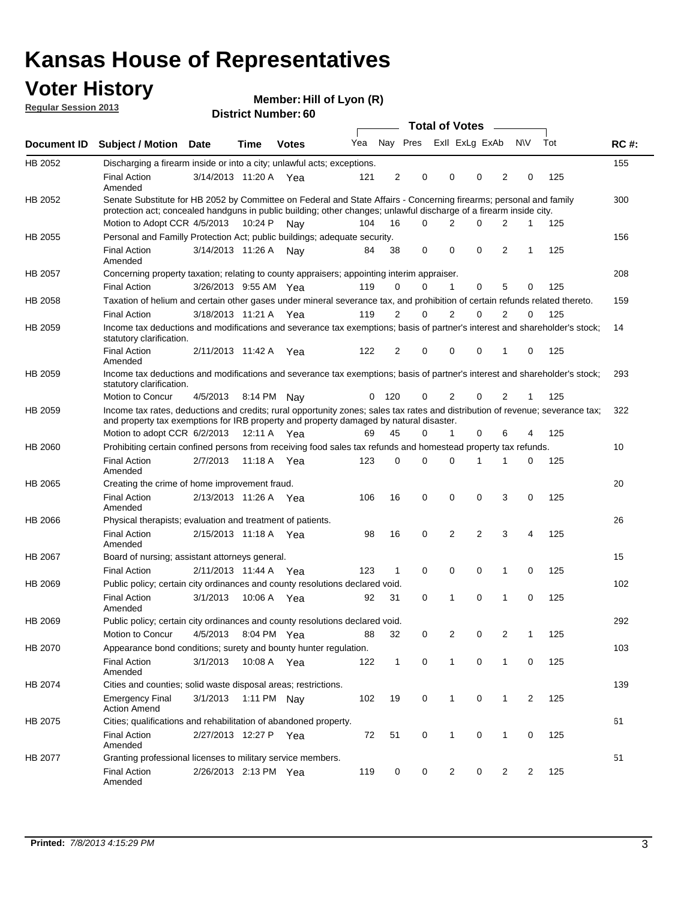## **Voter History**

**Member: Hill of Lyon (R)** 

**Regular Session 2013**

|                |                                                                                                                                                                                                                                          |                       |         |              |     |              |                         |                | Total of Votes __ |                |                |     |             |
|----------------|------------------------------------------------------------------------------------------------------------------------------------------------------------------------------------------------------------------------------------------|-----------------------|---------|--------------|-----|--------------|-------------------------|----------------|-------------------|----------------|----------------|-----|-------------|
| Document ID    | <b>Subject / Motion</b>                                                                                                                                                                                                                  | Date                  | Time    | <b>Votes</b> | Yea |              | Nay Pres Exll ExLg ExAb |                |                   |                | N\V            | Tot | <b>RC#:</b> |
| HB 2052        | Discharging a firearm inside or into a city; unlawful acts; exceptions.                                                                                                                                                                  |                       |         |              |     |              |                         |                |                   |                |                |     | 155         |
|                | <b>Final Action</b><br>Amended                                                                                                                                                                                                           | 3/14/2013 11:20 A Yea |         |              | 121 | 2            | 0                       | 0              | 0                 | 2              | 0              | 125 |             |
| HB 2052        | Senate Substitute for HB 2052 by Committee on Federal and State Affairs - Concerning firearms; personal and family<br>protection act; concealed handguns in public building; other changes; unlawful discharge of a firearm inside city. |                       |         |              |     |              |                         |                |                   |                |                |     | 300         |
|                | Motion to Adopt CCR 4/5/2013                                                                                                                                                                                                             |                       | 10:24 P | Nav          | 104 | 16           | 0                       | 2              | 0                 | 2              | 1              | 125 |             |
| HB 2055        | Personal and Familly Protection Act; public buildings; adequate security.                                                                                                                                                                |                       |         |              |     |              |                         |                |                   |                |                |     | 156         |
|                | <b>Final Action</b><br>Amended                                                                                                                                                                                                           | 3/14/2013 11:26 A     |         | Nav          | 84  | 38           | 0                       | 0              | 0                 | 2              | 1              | 125 |             |
| <b>HB 2057</b> | Concerning property taxation; relating to county appraisers; appointing interim appraiser.                                                                                                                                               |                       |         |              |     |              |                         |                |                   |                |                |     | 208         |
|                | <b>Final Action</b>                                                                                                                                                                                                                      | 3/26/2013 9:55 AM Yea |         |              | 119 | 0            | 0                       | $\mathbf 1$    | $\mathbf 0$       | 5              | 0              | 125 |             |
| HB 2058        | Taxation of helium and certain other gases under mineral severance tax, and prohibition of certain refunds related thereto.                                                                                                              |                       |         |              |     |              |                         |                |                   |                |                |     | 159         |
|                | <b>Final Action</b>                                                                                                                                                                                                                      | 3/18/2013 11:21 A Yea |         |              | 119 | 2            | 0                       | 2              | 0                 | 2              | $\Omega$       | 125 |             |
| HB 2059        | Income tax deductions and modifications and severance tax exemptions; basis of partner's interest and shareholder's stock;<br>statutory clarification.                                                                                   |                       |         |              |     |              |                         |                |                   |                |                |     | 14          |
|                | <b>Final Action</b><br>Amended                                                                                                                                                                                                           | 2/11/2013 11:42 A     |         | Yea          | 122 | 2            | 0                       | 0              | 0                 | 1              | 0              | 125 |             |
| HB 2059        | Income tax deductions and modifications and severance tax exemptions; basis of partner's interest and shareholder's stock;<br>statutory clarification.                                                                                   |                       |         |              |     |              |                         |                |                   |                |                |     | 293         |
|                | Motion to Concur                                                                                                                                                                                                                         | 4/5/2013              |         | 8:14 PM Nay  | 0   | 120          | 0                       | 2              | 0                 | 2              | 1              | 125 |             |
| HB 2059        | Income tax rates, deductions and credits; rural opportunity zones; sales tax rates and distribution of revenue; severance tax;<br>and property tax exemptions for IRB property and property damaged by natural disaster.                 |                       |         |              |     |              |                         |                |                   |                |                |     | 322         |
|                | Motion to adopt CCR 6/2/2013                                                                                                                                                                                                             |                       | 12:11 A | Yea          | 69  | 45           | 0                       | 1              | 0                 | 6              | 4              | 125 |             |
| <b>HB 2060</b> | Prohibiting certain confined persons from receiving food sales tax refunds and homestead property tax refunds.                                                                                                                           |                       |         |              |     |              |                         |                |                   |                |                |     | 10          |
|                | <b>Final Action</b><br>Amended                                                                                                                                                                                                           | 2/7/2013              | 11:18 A | Yea          | 123 | 0            | 0                       | $\Omega$       | 1                 | 1              | 0              | 125 |             |
| HB 2065        | Creating the crime of home improvement fraud.                                                                                                                                                                                            |                       |         |              |     |              |                         |                |                   |                |                |     | 20          |
|                | <b>Final Action</b><br>Amended                                                                                                                                                                                                           | 2/13/2013 11:26 A Yea |         |              | 106 | 16           | 0                       | $\mathbf 0$    | $\Omega$          | 3              | 0              | 125 |             |
| HB 2066        | Physical therapists; evaluation and treatment of patients.                                                                                                                                                                               |                       |         |              |     |              |                         |                |                   |                |                |     | 26          |
|                | <b>Final Action</b><br>Amended                                                                                                                                                                                                           | 2/15/2013 11:18 A Yea |         |              | 98  | 16           | 0                       | 2              | 2                 | 3              | 4              | 125 |             |
| <b>HB 2067</b> | Board of nursing; assistant attorneys general.                                                                                                                                                                                           |                       |         |              |     |              |                         |                |                   |                |                |     | 15          |
|                | <b>Final Action</b>                                                                                                                                                                                                                      | 2/11/2013 11:44 A Yea |         |              | 123 | 1            | $\mathbf 0$             | 0              | $\mathbf 0$       | 1              | 0              | 125 |             |
| HB 2069        | Public policy; certain city ordinances and county resolutions declared void.                                                                                                                                                             |                       |         |              |     |              |                         |                |                   |                |                |     | 102         |
|                | <b>Final Action</b><br>Amended                                                                                                                                                                                                           | 3/1/2013              | 10:06 A | Yea          | 92  | 31           | 0                       | 1              | 0                 | 1              | 0              | 125 |             |
| HB 2069        | Public policy; certain city ordinances and county resolutions declared void.                                                                                                                                                             |                       |         |              |     |              |                         |                |                   |                |                |     | 292         |
|                | Motion to Concur                                                                                                                                                                                                                         | 4/5/2013              |         | 8:04 PM Yea  | 88  | 32           | 0                       | 2              | 0                 | 2              | 1              | 125 |             |
| HB 2070        | Appearance bond conditions; surety and bounty hunter regulation.                                                                                                                                                                         |                       |         |              |     |              |                         |                |                   |                |                |     | 103         |
|                | <b>Final Action</b><br>Amended                                                                                                                                                                                                           | 3/1/2013              |         | 10:08 A Yea  | 122 | $\mathbf{1}$ | 0                       | 1              | 0                 | $\mathbf{1}$   | 0              | 125 |             |
| HB 2074        | Cities and counties; solid waste disposal areas; restrictions.                                                                                                                                                                           |                       |         |              |     |              |                         |                |                   |                |                |     | 139         |
|                | <b>Emergency Final</b><br><b>Action Amend</b>                                                                                                                                                                                            | 3/1/2013              |         | 1:11 PM Nay  | 102 | 19           | 0                       | $\mathbf{1}$   | 0                 | $\mathbf{1}$   | $\overline{2}$ | 125 |             |
| HB 2075        | Cities; qualifications and rehabilitation of abandoned property.                                                                                                                                                                         |                       |         |              |     |              |                         |                |                   |                |                |     | 61          |
|                | <b>Final Action</b><br>Amended                                                                                                                                                                                                           | 2/27/2013 12:27 P Yea |         |              | 72  | 51           | 0                       | 1              | 0                 | 1              | 0              | 125 |             |
| HB 2077        | Granting professional licenses to military service members.                                                                                                                                                                              |                       |         |              |     |              |                         |                |                   |                |                |     | 51          |
|                | <b>Final Action</b><br>Amended                                                                                                                                                                                                           | 2/26/2013 2:13 PM Yea |         |              | 119 | 0            | 0                       | $\overline{2}$ | 0                 | $\overline{2}$ | 2              | 125 |             |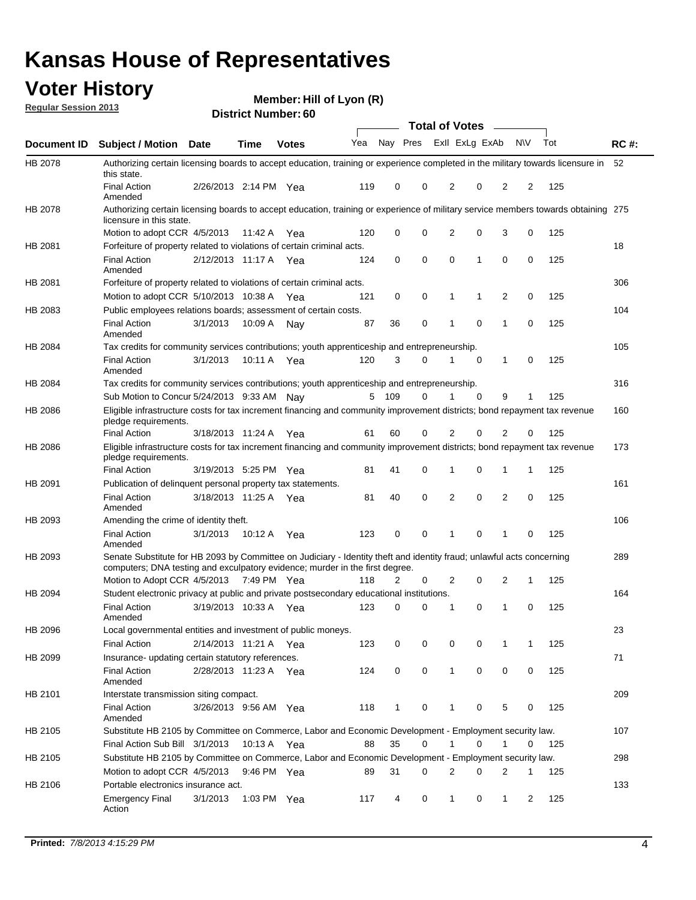## **Voter History**

**Member: Hill of Lyon (R)** 

**Regular Session 2013**

|             |                                                                                                                                                                                                       |                       |             | טט . וסעווואזו וטוש |     |              |             | <b>Total of Votes</b> |          | $\sim$         |           |     |             |
|-------------|-------------------------------------------------------------------------------------------------------------------------------------------------------------------------------------------------------|-----------------------|-------------|---------------------|-----|--------------|-------------|-----------------------|----------|----------------|-----------|-----|-------------|
| Document ID | <b>Subject / Motion Date</b>                                                                                                                                                                          |                       | <b>Time</b> | <b>Votes</b>        | Yea | Nay Pres     |             | Exll ExLg ExAb        |          |                | <b>NV</b> | Tot | <b>RC#:</b> |
| HB 2078     | Authorizing certain licensing boards to accept education, training or experience completed in the military towards licensure in<br>this state.                                                        |                       |             |                     |     |              |             |                       |          |                |           |     | 52          |
|             | <b>Final Action</b><br>Amended                                                                                                                                                                        | 2/26/2013 2:14 PM Yea |             |                     | 119 | 0            | 0           | 2                     | 0        | 2              | 2         | 125 |             |
| HB 2078     | Authorizing certain licensing boards to accept education, training or experience of military service members towards obtaining 275<br>licensure in this state.                                        |                       |             |                     |     |              |             |                       |          |                |           |     |             |
|             | Motion to adopt CCR 4/5/2013                                                                                                                                                                          |                       | 11:42 A     | Yea                 | 120 | 0            | $\mathbf 0$ | $\overline{2}$        | 0        | 3              | 0         | 125 |             |
| HB 2081     | Forfeiture of property related to violations of certain criminal acts.                                                                                                                                |                       |             |                     |     |              |             |                       |          |                |           |     | 18          |
|             | <b>Final Action</b><br>Amended                                                                                                                                                                        | 2/12/2013 11:17 A Yea |             |                     | 124 | 0            | 0           | $\Omega$              | 1        | 0              | 0         | 125 |             |
| HB 2081     | Forfeiture of property related to violations of certain criminal acts.                                                                                                                                |                       |             |                     |     |              |             |                       |          |                |           |     | 306         |
|             | Motion to adopt CCR 5/10/2013 10:38 A                                                                                                                                                                 |                       |             | Yea                 | 121 | 0            | 0           | 1                     | 1        | 2              | 0         | 125 |             |
| HB 2083     | Public employees relations boards; assessment of certain costs.                                                                                                                                       |                       |             |                     |     |              |             |                       |          |                |           |     | 104         |
|             | <b>Final Action</b><br>Amended                                                                                                                                                                        | 3/1/2013              | 10:09 A     | Nay                 | 87  | 36           | 0           | 1                     | 0        | 1              | 0         | 125 |             |
| HB 2084     | Tax credits for community services contributions; youth apprenticeship and entrepreneurship.                                                                                                          |                       |             |                     |     |              |             |                       |          |                |           |     | 105         |
|             | <b>Final Action</b><br>Amended                                                                                                                                                                        | 3/1/2013              | 10:11 A     | Yea                 | 120 | 3            | $\Omega$    |                       | 0        | 1              | 0         | 125 |             |
| HB 2084     | Tax credits for community services contributions; youth apprenticeship and entrepreneurship.                                                                                                          |                       |             |                     |     |              |             |                       |          |                |           |     | 316         |
|             | Sub Motion to Concur 5/24/2013 9:33 AM Nay                                                                                                                                                            |                       |             |                     | 5   | - 109        | $\Omega$    | 1                     | $\Omega$ | 9              | 1         | 125 |             |
| HB 2086     | Eligible infrastructure costs for tax increment financing and community improvement districts; bond repayment tax revenue<br>pledge requirements.                                                     |                       |             |                     |     |              |             |                       |          |                |           |     | 160         |
|             | <b>Final Action</b>                                                                                                                                                                                   | 3/18/2013 11:24 A     |             | Yea                 | 61  | 60           | 0           | 2                     | 0        | 2              | 0         | 125 |             |
| HB 2086     | Eligible infrastructure costs for tax increment financing and community improvement districts; bond repayment tax revenue<br>pledge requirements.                                                     |                       |             |                     |     |              |             |                       |          |                |           |     | 173         |
|             | <b>Final Action</b>                                                                                                                                                                                   | 3/19/2013 5:25 PM     |             | Yea                 | 81  | 41           | 0           | 1                     | 0        | 1              | 1         | 125 |             |
| HB 2091     | Publication of delinquent personal property tax statements.                                                                                                                                           |                       |             |                     |     |              |             |                       |          |                |           |     | 161         |
|             | <b>Final Action</b><br>Amended                                                                                                                                                                        | 3/18/2013 11:25 A     |             | Yea                 | 81  | 40           | 0           | 2                     | 0        | $\overline{2}$ | 0         | 125 |             |
| HB 2093     | Amending the crime of identity theft.                                                                                                                                                                 |                       |             |                     |     |              |             |                       |          |                |           |     | 106         |
|             | <b>Final Action</b><br>Amended                                                                                                                                                                        | 3/1/2013              | 10:12 A     | Yea                 | 123 | 0            | $\Omega$    | 1                     | 0        | 1              | 0         | 125 |             |
| HB 2093     | Senate Substitute for HB 2093 by Committee on Judiciary - Identity theft and identity fraud; unlawful acts concerning<br>computers; DNA testing and exculpatory evidence; murder in the first degree. |                       |             |                     |     |              |             |                       |          |                |           |     | 289         |
|             | Motion to Adopt CCR 4/5/2013 7:49 PM Yea                                                                                                                                                              |                       |             |                     | 118 | 2            | 0           | 2                     | 0        | 2              | 1         | 125 |             |
| HB 2094     | Student electronic privacy at public and private postsecondary educational institutions.                                                                                                              |                       |             |                     |     |              |             |                       |          |                |           |     | 164         |
|             | <b>Final Action</b><br>Amended                                                                                                                                                                        | 3/19/2013 10:33 A     |             | Yea                 | 123 | 0            | 0           | 1                     | 0        | 1              | 0         | 125 |             |
| HB 2096     | Local governmental entities and investment of public moneys.                                                                                                                                          |                       |             |                     |     |              |             |                       |          |                |           |     | 23          |
|             | <b>Final Action</b>                                                                                                                                                                                   | 2/14/2013 11:21 A     |             | Yea                 | 123 | 0            | 0           | 0                     | 0        | 1              | 1         | 125 |             |
| HB 2099     | Insurance- updating certain statutory references.                                                                                                                                                     |                       |             |                     |     |              |             |                       |          |                |           |     | 71          |
|             | <b>Final Action</b><br>Amended                                                                                                                                                                        | 2/28/2013 11:23 A     |             | Yea                 | 124 | 0            | 0           | 1                     | 0        | 0              | 0         | 125 |             |
| HB 2101     | Interstate transmission siting compact.                                                                                                                                                               |                       |             |                     |     |              |             |                       |          |                |           |     | 209         |
|             | <b>Final Action</b><br>Amended                                                                                                                                                                        | 3/26/2013 9:56 AM Yea |             |                     | 118 | $\mathbf{1}$ | 0           | 1                     | 0        | 5              | 0         | 125 |             |
| HB 2105     | Substitute HB 2105 by Committee on Commerce, Labor and Economic Development - Employment security law.                                                                                                |                       |             |                     |     |              |             |                       |          |                |           |     | 107         |
|             | Final Action Sub Bill 3/1/2013                                                                                                                                                                        |                       | 10:13 A Yea |                     | 88  | 35           | 0           |                       | 0        | 1              | 0         | 125 |             |
| HB 2105     | Substitute HB 2105 by Committee on Commerce, Labor and Economic Development - Employment security law.                                                                                                |                       |             |                     |     |              |             |                       |          |                |           |     | 298         |
|             | Motion to adopt CCR 4/5/2013                                                                                                                                                                          |                       | 9:46 PM Yea |                     | 89  | 31           | 0           | 2                     | 0        | 2              | 1         | 125 |             |
| HB 2106     | Portable electronics insurance act.                                                                                                                                                                   |                       |             |                     |     |              |             |                       |          |                |           |     | 133         |
|             | <b>Emergency Final</b><br>Action                                                                                                                                                                      | 3/1/2013              | 1:03 PM Yea |                     | 117 | 4            | 0           | $\mathbf{1}$          | 0        | $\mathbf{1}$   | 2         | 125 |             |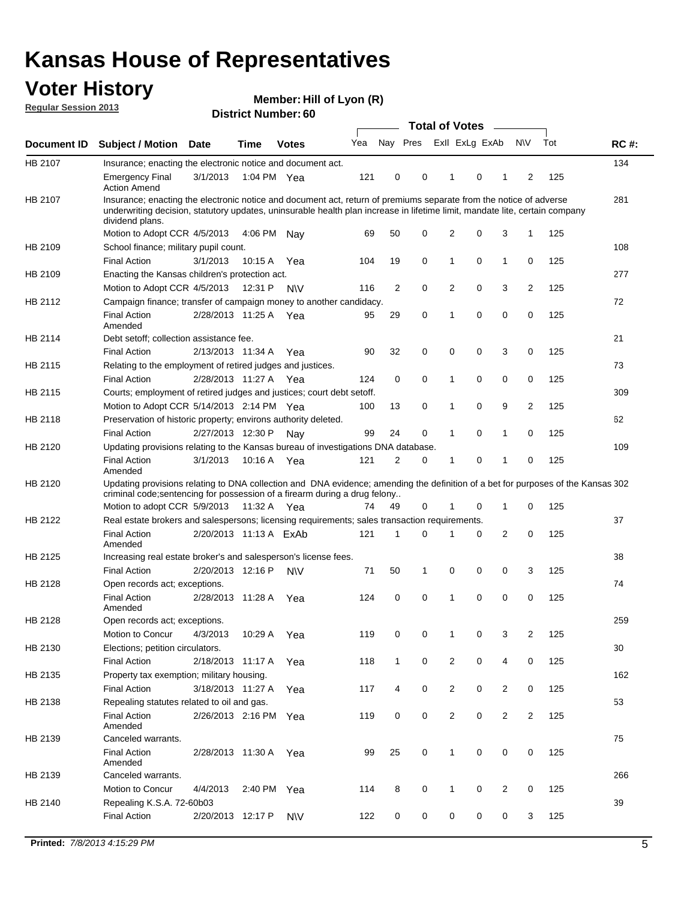## **Voter History**

**Member: Hill of Lyon (R)** 

**Regular Session 2013**

|             |                                                                                                                                                                                                                                                                      |                        |             |              |     |              | <b>Total of Votes</b> |                |   | $\frac{1}{2}$  |                |     |             |
|-------------|----------------------------------------------------------------------------------------------------------------------------------------------------------------------------------------------------------------------------------------------------------------------|------------------------|-------------|--------------|-----|--------------|-----------------------|----------------|---|----------------|----------------|-----|-------------|
| Document ID | <b>Subject / Motion</b>                                                                                                                                                                                                                                              | <b>Date</b>            | <b>Time</b> | <b>Votes</b> | Yea | Nay Pres     |                       | Exll ExLg ExAb |   |                | <b>NV</b>      | Tot | <b>RC#:</b> |
| HB 2107     | Insurance; enacting the electronic notice and document act.                                                                                                                                                                                                          |                        |             |              |     |              |                       |                |   |                |                |     | 134         |
|             | <b>Emergency Final</b><br><b>Action Amend</b>                                                                                                                                                                                                                        | 3/1/2013               | 1:04 PM Yea |              | 121 | 0            | 0                     | 1              | 0 | 1              | 2              | 125 |             |
| HB 2107     | Insurance; enacting the electronic notice and document act, return of premiums separate from the notice of adverse<br>underwriting decision, statutory updates, uninsurable health plan increase in lifetime limit, mandate lite, certain company<br>dividend plans. |                        |             |              |     |              |                       |                |   |                |                |     | 281         |
|             | Motion to Adopt CCR 4/5/2013                                                                                                                                                                                                                                         |                        | 4:06 PM     | Nav          | 69  | 50           | 0                     | 2              | 0 | 3              | 1              | 125 |             |
| HB 2109     | School finance; military pupil count.                                                                                                                                                                                                                                |                        |             |              |     |              |                       |                |   |                |                |     | 108         |
|             | <b>Final Action</b>                                                                                                                                                                                                                                                  | 3/1/2013               | 10:15 A     | Yea          | 104 | 19           | 0                     | 1              | 0 | 1              | 0              | 125 |             |
| HB 2109     | Enacting the Kansas children's protection act.                                                                                                                                                                                                                       |                        |             |              |     |              |                       |                |   |                |                |     | 277         |
|             | Motion to Adopt CCR 4/5/2013                                                                                                                                                                                                                                         |                        | 12:31 P     | N\V          | 116 | 2            | 0                     | 2              | 0 | 3              | 2              | 125 |             |
| HB 2112     | Campaign finance; transfer of campaign money to another candidacy.                                                                                                                                                                                                   |                        |             |              |     |              |                       |                |   |                |                |     | 72          |
|             | <b>Final Action</b><br>Amended                                                                                                                                                                                                                                       | 2/28/2013 11:25 A      |             | Yea          | 95  | 29           | 0                     | 1              | 0 | 0              | 0              | 125 |             |
| HB 2114     | Debt setoff; collection assistance fee.                                                                                                                                                                                                                              |                        |             |              |     |              |                       |                |   |                |                |     | 21          |
|             | <b>Final Action</b>                                                                                                                                                                                                                                                  | 2/13/2013 11:34 A      |             | Yea          | 90  | 32           | 0                     | 0              | 0 | 3              | 0              | 125 |             |
| HB 2115     | Relating to the employment of retired judges and justices.                                                                                                                                                                                                           |                        |             |              |     |              |                       |                |   |                |                |     | 73          |
|             | <b>Final Action</b>                                                                                                                                                                                                                                                  | 2/28/2013 11:27 A      |             | Yea          | 124 | 0            | 0                     | 1              | 0 | 0              | 0              | 125 |             |
| HB 2115     | Courts; employment of retired judges and justices; court debt setoff.                                                                                                                                                                                                |                        |             |              |     |              |                       |                |   |                |                |     | 309         |
|             | Motion to Adopt CCR 5/14/2013 2:14 PM Yea                                                                                                                                                                                                                            |                        |             |              | 100 | 13           | 0                     | 1              | 0 | 9              | $\overline{2}$ | 125 |             |
| HB 2118     | Preservation of historic property; environs authority deleted.                                                                                                                                                                                                       |                        |             |              |     |              |                       |                |   |                |                |     | 62          |
|             | <b>Final Action</b>                                                                                                                                                                                                                                                  | 2/27/2013 12:30 P      |             | Nay          | 99  | 24           | 0                     | 1              | 0 | 1              | 0              | 125 |             |
| HB 2120     | Updating provisions relating to the Kansas bureau of investigations DNA database.                                                                                                                                                                                    |                        |             |              |     |              |                       |                |   |                |                |     | 109         |
|             | <b>Final Action</b><br>Amended                                                                                                                                                                                                                                       | 3/1/2013               | 10:16 A     | Yea          | 121 | 2            | 0                     | 1              | 0 | 1              | 0              | 125 |             |
| HB 2120     | Updating provisions relating to DNA collection and DNA evidence; amending the definition of a bet for purposes of the Kansas 302<br>criminal code; sentencing for possession of a firearm during a drug felony                                                       |                        |             |              |     |              |                       |                |   |                |                |     |             |
|             | Motion to adopt CCR 5/9/2013 11:32 A Yea                                                                                                                                                                                                                             |                        |             |              | 74  | 49           | 0                     | 1              | 0 | 1              | 0              | 125 |             |
| HB 2122     | Real estate brokers and salespersons; licensing requirements; sales transaction requirements.                                                                                                                                                                        |                        |             |              |     |              |                       |                |   |                |                |     | 37          |
|             | <b>Final Action</b><br>Amended                                                                                                                                                                                                                                       | 2/20/2013 11:13 A ExAb |             |              | 121 | 1            | 0                     |                | 0 | 2              | 0              | 125 |             |
| HB 2125     | Increasing real estate broker's and salesperson's license fees.                                                                                                                                                                                                      |                        |             |              |     |              |                       |                |   |                |                |     | 38          |
|             | <b>Final Action</b>                                                                                                                                                                                                                                                  | 2/20/2013 12:16 P      |             | <b>NV</b>    | 71  | 50           | 1                     | 0              | 0 | 0              | 3              | 125 |             |
| HB 2128     | Open records act; exceptions.                                                                                                                                                                                                                                        |                        |             |              |     |              |                       |                |   |                |                |     | 74          |
|             | <b>Final Action</b>                                                                                                                                                                                                                                                  | 2/28/2013 11:28 A      |             | Yea          | 124 | 0            | 0                     | 1              | 0 | 0              | 0              | 125 |             |
| HB 2128     | Amended<br>Open records act; exceptions.                                                                                                                                                                                                                             |                        |             |              |     |              |                       |                |   |                |                |     | 259         |
|             | Motion to Concur                                                                                                                                                                                                                                                     | 4/3/2013               | 10:29 A     |              | 119 | 0            | 0                     | 1              | 0 | 3              | $\overline{2}$ | 125 |             |
| HB 2130     |                                                                                                                                                                                                                                                                      |                        |             | Yea          |     |              |                       |                |   |                |                |     | 30          |
|             | Elections; petition circulators.                                                                                                                                                                                                                                     |                        |             |              |     |              | 0                     | 2              | 0 | 4              | 0              |     |             |
|             | <b>Final Action</b>                                                                                                                                                                                                                                                  | 2/18/2013 11:17 A      |             | Yea          | 118 | $\mathbf{1}$ |                       |                |   |                |                | 125 |             |
| HB 2135     | Property tax exemption; military housing.                                                                                                                                                                                                                            |                        |             |              |     |              |                       |                |   |                |                |     | 162         |
|             | <b>Final Action</b>                                                                                                                                                                                                                                                  | 3/18/2013 11:27 A      |             | Yea          | 117 | 4            | 0                     | $\overline{2}$ | 0 | $\overline{2}$ | 0              | 125 |             |
| HB 2138     | Repealing statutes related to oil and gas.                                                                                                                                                                                                                           |                        |             |              |     |              |                       |                |   |                |                |     | 53          |
|             | <b>Final Action</b><br>Amended                                                                                                                                                                                                                                       | 2/26/2013 2:16 PM Yea  |             |              | 119 | 0            | 0                     | $\overline{2}$ | 0 | $\overline{2}$ | $\overline{2}$ | 125 |             |
| HB 2139     | Canceled warrants.                                                                                                                                                                                                                                                   |                        |             |              |     |              |                       |                |   |                |                |     | 75          |
|             | <b>Final Action</b><br>Amended                                                                                                                                                                                                                                       | 2/28/2013 11:30 A      |             | Yea          | 99  | 25           | 0                     | $\mathbf{1}$   | 0 | 0              | 0              | 125 |             |
| HB 2139     | Canceled warrants.                                                                                                                                                                                                                                                   |                        |             |              |     |              |                       |                |   |                |                |     | 266         |
|             | Motion to Concur                                                                                                                                                                                                                                                     | 4/4/2013               | 2:40 PM     | Yea          | 114 | 8            | 0                     | 1              | 0 | 2              | 0              | 125 |             |
| HB 2140     | Repealing K.S.A. 72-60b03                                                                                                                                                                                                                                            |                        |             |              |     |              |                       |                |   |                |                |     | 39          |
|             | <b>Final Action</b>                                                                                                                                                                                                                                                  | 2/20/2013 12:17 P      |             | <b>NV</b>    | 122 | 0            | 0                     | 0              | 0 | 0              | 3              | 125 |             |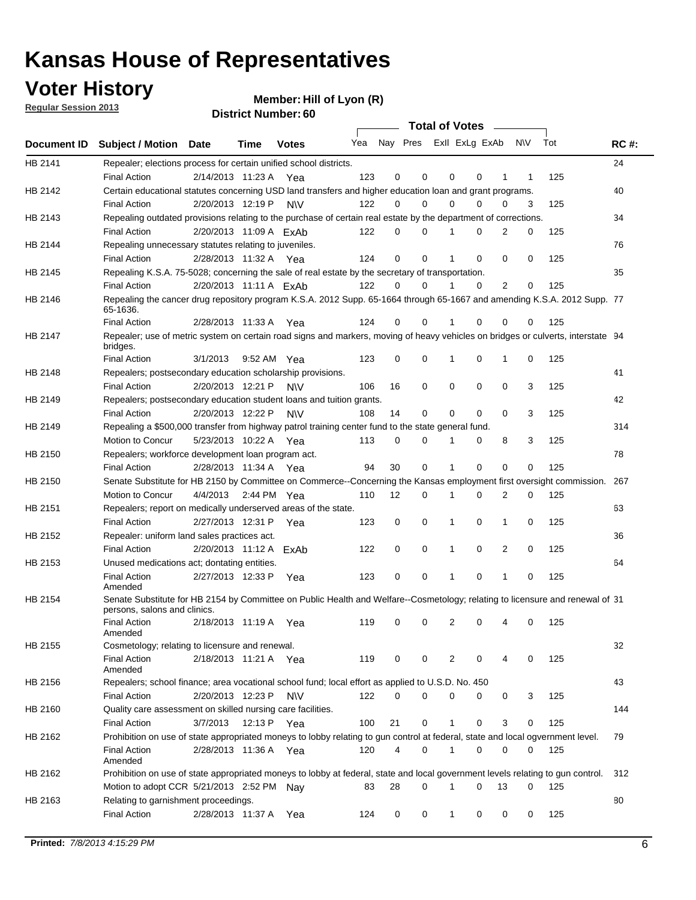## **Voter History**

**Member: Hill of Lyon (R)** 

**Regular Session 2013**

|             |                                                                                                                                              |                        |      |              |     |    | <b>Total of Votes</b>   |              |          | $\sim$         |     |     |             |
|-------------|----------------------------------------------------------------------------------------------------------------------------------------------|------------------------|------|--------------|-----|----|-------------------------|--------------|----------|----------------|-----|-----|-------------|
| Document ID | <b>Subject / Motion Date</b>                                                                                                                 |                        | Time | <b>Votes</b> | Yea |    | Nay Pres Exll ExLg ExAb |              |          |                | N\V | Tot | <b>RC#:</b> |
| HB 2141     | Repealer; elections process for certain unified school districts.                                                                            |                        |      |              |     |    |                         |              |          |                |     |     | 24          |
|             | <b>Final Action</b>                                                                                                                          | 2/14/2013 11:23 A      |      | Yea          | 123 | 0  | 0                       | 0            | 0        | 1              | 1   | 125 |             |
| HB 2142     | Certain educational statutes concerning USD land transfers and higher education loan and grant programs.                                     |                        |      |              |     |    |                         |              |          |                |     |     | 40          |
|             | <b>Final Action</b>                                                                                                                          | 2/20/2013 12:19 P      |      | <b>NV</b>    | 122 | 0  | 0                       | 0            | 0        | 0              | 3   | 125 |             |
| HB 2143     | Repealing outdated provisions relating to the purchase of certain real estate by the department of corrections.                              |                        |      |              |     |    |                         |              |          |                |     |     | 34          |
|             | <b>Final Action</b>                                                                                                                          | 2/20/2013 11:09 A ExAb |      |              | 122 | 0  | $\Omega$                | 1            | 0        | 2              | 0   | 125 |             |
| HB 2144     | Repealing unnecessary statutes relating to juveniles.                                                                                        |                        |      |              |     |    |                         |              |          |                |     |     | 76          |
|             | <b>Final Action</b>                                                                                                                          | 2/28/2013 11:32 A Yea  |      |              | 124 | 0  | 0                       | 1            | 0        | 0              | 0   | 125 |             |
| HB 2145     | Repealing K.S.A. 75-5028; concerning the sale of real estate by the secretary of transportation.                                             |                        |      |              |     |    |                         |              |          |                |     |     | 35          |
|             | <b>Final Action</b>                                                                                                                          | 2/20/2013 11:11 A ExAb |      |              | 122 | 0  | 0                       | 1            | 0        | $\overline{2}$ | 0   | 125 |             |
| HB 2146     | Repealing the cancer drug repository program K.S.A. 2012 Supp. 65-1664 through 65-1667 and amending K.S.A. 2012 Supp. 77<br>65-1636.         |                        |      |              |     |    |                         |              |          |                |     |     |             |
|             | <b>Final Action</b>                                                                                                                          | 2/28/2013 11:33 A      |      | Yea          | 124 | 0  | 0                       |              | 0        | 0              | 0   | 125 |             |
| HB 2147     | Repealer; use of metric system on certain road signs and markers, moving of heavy vehicles on bridges or culverts, interstate 94<br>bridges. |                        |      |              |     |    |                         |              |          |                |     |     |             |
|             | <b>Final Action</b>                                                                                                                          | 3/1/2013               |      | 9:52 AM Yea  | 123 | 0  | 0                       | 1            | 0        | 1              | 0   | 125 |             |
| HB 2148     | Repealers; postsecondary education scholarship provisions.                                                                                   |                        |      |              |     |    |                         |              |          |                |     |     | 41          |
|             | <b>Final Action</b>                                                                                                                          | 2/20/2013 12:21 P      |      | <b>NV</b>    | 106 | 16 | 0                       | 0            | 0        | 0              | 3   | 125 |             |
| HB 2149     | Repealers; postsecondary education student loans and tuition grants.                                                                         |                        |      |              |     |    |                         |              |          |                |     |     | 42          |
|             | <b>Final Action</b>                                                                                                                          | 2/20/2013 12:22 P      |      | <b>NV</b>    | 108 | 14 | 0                       | 0            | $\Omega$ | 0              | 3   | 125 |             |
| HB 2149     | Repealing a \$500,000 transfer from highway patrol training center fund to the state general fund.                                           |                        |      |              |     |    |                         |              |          |                |     |     | 314         |
|             | Motion to Concur                                                                                                                             | 5/23/2013 10:22 A Yea  |      |              | 113 | 0  | 0                       |              | 0        | 8              | 3   | 125 |             |
| HB 2150     | Repealers; workforce development loan program act.                                                                                           |                        |      |              |     |    |                         |              |          |                |     |     | 78          |
|             | <b>Final Action</b>                                                                                                                          | 2/28/2013 11:34 A Yea  |      |              | 94  | 30 | 0                       | 1            | 0        | 0              | 0   | 125 |             |
| HB 2150     | Senate Substitute for HB 2150 by Committee on Commerce--Concerning the Kansas employment first oversight commission.                         |                        |      |              |     |    |                         |              |          |                |     |     | 267         |
|             | Motion to Concur                                                                                                                             | 4/4/2013               |      | 2:44 PM Yea  | 110 | 12 | 0                       | 1            | 0        | 2              | 0   | 125 |             |
| HB 2151     | Repealers; report on medically underserved areas of the state.                                                                               |                        |      |              |     |    |                         |              |          |                |     |     | 63          |
|             | <b>Final Action</b>                                                                                                                          | 2/27/2013 12:31 P      |      | Yea          | 123 | 0  | 0                       | 1            | 0        | $\mathbf{1}$   | 0   | 125 |             |
| HB 2152     | Repealer: uniform land sales practices act.                                                                                                  |                        |      |              |     |    |                         |              |          |                |     |     | 36          |
|             | <b>Final Action</b>                                                                                                                          | 2/20/2013 11:12 A ExAb |      |              | 122 | 0  | 0                       | 1            | 0        | 2              | 0   | 125 |             |
| HB 2153     | Unused medications act; dontating entities.                                                                                                  |                        |      |              |     |    |                         |              |          |                |     |     | 64          |
|             | <b>Final Action</b><br>Amended                                                                                                               | 2/27/2013 12:33 P Yea  |      |              | 123 | 0  | 0                       | 1            | 0        | 1              | 0   | 125 |             |
| HB 2154     | Senate Substitute for HB 2154 by Committee on Public Health and Welfare--Cosmetology; relating to licensure and renewal of 31                |                        |      |              |     |    |                         |              |          |                |     |     |             |
|             | persons, salons and clinics.                                                                                                                 |                        |      |              |     |    |                         |              |          |                |     |     |             |
|             | <b>Final Action</b><br>Amended                                                                                                               | 2/18/2013 11:19 A      |      | Yea          | 119 | 0  | 0                       | 2            | 0        |                | 0   | 125 |             |
| HB 2155     | Cosmetology; relating to licensure and renewal.                                                                                              |                        |      |              |     |    |                         |              |          |                |     |     | 32          |
|             | <b>Final Action</b>                                                                                                                          | 2/18/2013 11:21 A Yea  |      |              | 119 | 0  | 0                       | 2            | 0        | 4              | 0   | 125 |             |
|             | Amended                                                                                                                                      |                        |      |              |     |    |                         |              |          |                |     |     |             |
| HB 2156     | Repealers; school finance; area vocational school fund; local effort as applied to U.S.D. No. 450                                            |                        |      |              |     |    |                         |              |          |                |     |     | 43          |
|             | <b>Final Action</b>                                                                                                                          | 2/20/2013 12:23 P      |      | <b>NV</b>    | 122 | 0  | 0                       | 0            | 0        | 0              | 3   | 125 |             |
| HB 2160     | Quality care assessment on skilled nursing care facilities.                                                                                  |                        |      |              |     |    |                         |              |          |                |     |     | 144         |
|             | <b>Final Action</b>                                                                                                                          | 3/7/2013               |      | 12:13 P Yea  | 100 | 21 | 0                       | $\mathbf{1}$ | 0        | 3              | 0   | 125 |             |
| HB 2162     | Prohibition on use of state appropriated moneys to lobby relating to gun control at federal, state and local ogvernment level.               |                        |      |              |     |    |                         |              |          |                |     |     | 79          |
|             | <b>Final Action</b><br>Amended                                                                                                               | 2/28/2013 11:36 A Yea  |      |              | 120 | 4  | 0                       | 1            | 0        | 0              | 0   | 125 |             |
| HB 2162     | Prohibition on use of state appropriated moneys to lobby at federal, state and local government levels relating to gun control.              |                        |      |              |     |    |                         |              |          |                |     |     | 312         |
|             | Motion to adopt CCR 5/21/2013 2:52 PM Nav                                                                                                    |                        |      |              | 83  | 28 | $\Omega$                |              | 0        | 13             | 0   | 125 |             |
| HB 2163     | Relating to garnishment proceedings.                                                                                                         |                        |      |              |     |    |                         |              |          |                |     |     | 80          |
|             | <b>Final Action</b>                                                                                                                          | 2/28/2013 11:37 A Yea  |      |              | 124 | 0  | 0                       | $\mathbf 1$  | 0        | 0              | 0   | 125 |             |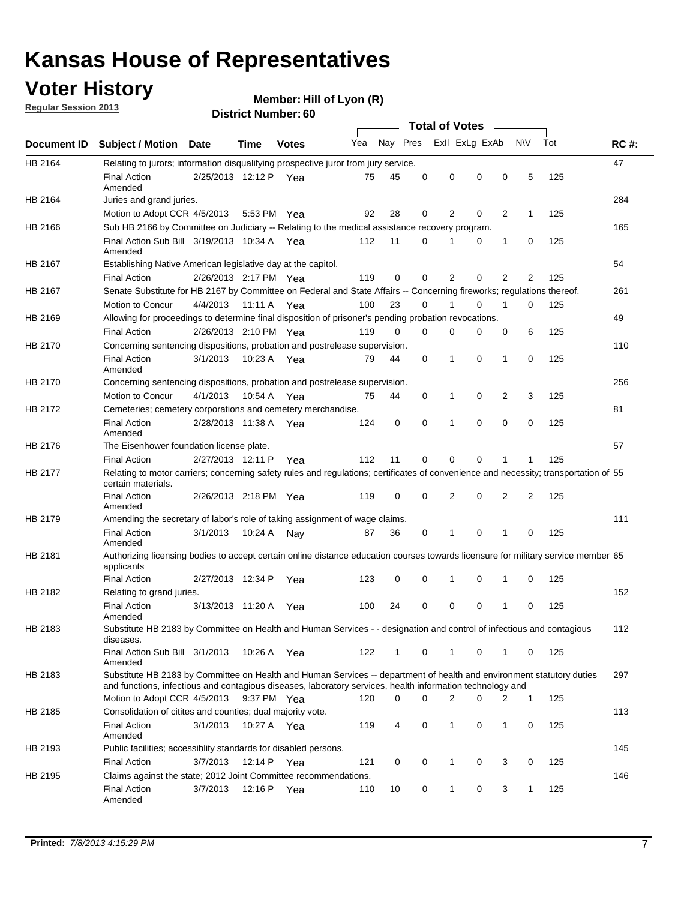## **Voter History**

**Member: Hill of Lyon (R)** 

**Regular Session 2013**

|             |                                                                                                                                                                                                                                    |                       |             | טט . וסעווואדו או ווסוש |     |          |          | <b>Total of Votes</b> |   | $\sim$         |                |     |             |
|-------------|------------------------------------------------------------------------------------------------------------------------------------------------------------------------------------------------------------------------------------|-----------------------|-------------|-------------------------|-----|----------|----------|-----------------------|---|----------------|----------------|-----|-------------|
| Document ID | <b>Subject / Motion Date</b>                                                                                                                                                                                                       |                       | Time        | <b>Votes</b>            | Yea | Nay Pres |          | Exll ExLg ExAb        |   |                | <b>NV</b>      | Tot | <b>RC#:</b> |
| HB 2164     | Relating to jurors; information disqualifying prospective juror from jury service.                                                                                                                                                 |                       |             |                         |     |          |          |                       |   |                |                |     | 47          |
|             | <b>Final Action</b><br>Amended                                                                                                                                                                                                     | 2/25/2013 12:12 P Yea |             |                         | 75  | 45       | 0        | 0                     | 0 | 0              | 5              | 125 |             |
| HB 2164     | Juries and grand juries.                                                                                                                                                                                                           |                       |             |                         |     |          |          |                       |   |                |                |     | 284         |
|             | Motion to Adopt CCR 4/5/2013                                                                                                                                                                                                       |                       | 5:53 PM Yea |                         | 92  | 28       | 0        | 2                     | 0 | $\overline{2}$ | 1              | 125 |             |
| HB 2166     | Sub HB 2166 by Committee on Judiciary -- Relating to the medical assistance recovery program.                                                                                                                                      |                       |             |                         |     |          |          |                       |   |                |                |     | 165         |
|             | Final Action Sub Bill 3/19/2013 10:34 A Yea<br>Amended                                                                                                                                                                             |                       |             |                         | 112 | 11       | $\Omega$ |                       | 0 | 1              | 0              | 125 |             |
| HB 2167     | Establishing Native American legislative day at the capitol.                                                                                                                                                                       |                       |             |                         |     |          |          |                       |   |                |                |     | 54          |
|             | <b>Final Action</b>                                                                                                                                                                                                                | 2/26/2013 2:17 PM Yea |             |                         | 119 | 0        | $\Omega$ | 2                     | 0 | $\overline{2}$ | 2              | 125 |             |
| HB 2167     | Senate Substitute for HB 2167 by Committee on Federal and State Affairs -- Concerning fireworks; regulations thereof.                                                                                                              |                       |             |                         |     |          |          |                       |   |                |                |     | 261         |
|             | Motion to Concur                                                                                                                                                                                                                   | 4/4/2013              | 11:11 A Yea |                         | 100 | 23       | 0        | 1                     | 0 | 1              | 0              | 125 |             |
| HB 2169     | Allowing for proceedings to determine final disposition of prisoner's pending probation revocations.                                                                                                                               |                       |             |                         |     |          |          |                       |   |                |                |     | 49          |
|             | <b>Final Action</b>                                                                                                                                                                                                                | 2/26/2013 2:10 PM Yea |             |                         | 119 | 0        | 0        | 0                     | 0 | 0              | 6              | 125 |             |
| HB 2170     | Concerning sentencing dispositions, probation and postrelease supervision.                                                                                                                                                         |                       |             |                         |     |          |          |                       |   |                |                |     | 110         |
|             | <b>Final Action</b><br>Amended                                                                                                                                                                                                     | 3/1/2013              | 10:23 A Yea |                         | 79  | 44       | 0        | 1                     | 0 | 1              | 0              | 125 |             |
| HB 2170     | Concerning sentencing dispositions, probation and postrelease supervision.                                                                                                                                                         |                       |             |                         |     |          |          |                       |   |                |                |     | 256         |
|             | Motion to Concur                                                                                                                                                                                                                   | 4/1/2013              | 10:54 A Yea |                         | 75  | 44       | 0        | 1                     | 0 | $\overline{2}$ | 3              | 125 |             |
| HB 2172     | Cemeteries; cemetery corporations and cemetery merchandise.                                                                                                                                                                        |                       |             |                         |     |          |          |                       |   |                |                |     | 81          |
|             | <b>Final Action</b><br>Amended                                                                                                                                                                                                     | 2/28/2013 11:38 A Yea |             |                         | 124 | 0        | 0        | 1                     | 0 | $\Omega$       | 0              | 125 |             |
| HB 2176     | The Eisenhower foundation license plate.                                                                                                                                                                                           |                       |             |                         |     |          |          |                       |   |                |                |     | 57          |
|             | <b>Final Action</b>                                                                                                                                                                                                                | 2/27/2013 12:11 P     |             | Yea                     | 112 | 11       | $\Omega$ | 0                     | 0 | 1              | 1              | 125 |             |
| HB 2177     | Relating to motor carriers; concerning safety rules and regulations; certificates of convenience and necessity; transportation of 55<br>certain materials.                                                                         |                       |             |                         |     |          |          |                       |   |                |                |     |             |
|             | <b>Final Action</b><br>Amended                                                                                                                                                                                                     | 2/26/2013 2:18 PM Yea |             |                         | 119 | 0        | $\Omega$ | 2                     | 0 | $\overline{2}$ | $\overline{2}$ | 125 |             |
| HB 2179     | Amending the secretary of labor's role of taking assignment of wage claims.                                                                                                                                                        |                       |             |                         |     |          |          |                       |   |                |                |     | 111         |
|             | <b>Final Action</b><br>Amended                                                                                                                                                                                                     | 3/1/2013              | 10:24 A     | Nav                     | 87  | 36       | 0        | 1                     | 0 | 1              | 0              | 125 |             |
| HB 2181     | Authorizing licensing bodies to accept certain online distance education courses towards licensure for military service member 55<br>applicants                                                                                    |                       |             |                         |     |          |          |                       |   |                |                |     |             |
|             | <b>Final Action</b>                                                                                                                                                                                                                | 2/27/2013 12:34 P     |             | Yea                     | 123 | 0        | 0        |                       | 0 | 1              | 0              | 125 |             |
| HB 2182     | Relating to grand juries.                                                                                                                                                                                                          |                       |             |                         |     |          |          |                       |   |                |                |     | 152         |
|             | <b>Final Action</b><br>Amended                                                                                                                                                                                                     | 3/13/2013 11:20 A     |             | Yea                     | 100 | 24       | 0        | 0                     | 0 | 1              | 0              | 125 |             |
| HB 2183     | Substitute HB 2183 by Committee on Health and Human Services - - designation and control of infectious and contagious<br>diseases.                                                                                                 |                       |             |                         |     |          |          |                       |   |                |                |     | 112         |
|             | Final Action Sub Bill 3/1/2013<br>Amended                                                                                                                                                                                          |                       | 10:26 A Yea |                         | 122 | 1        | 0        | 1                     | 0 | 1              | 0              | 125 |             |
| HB 2183     | Substitute HB 2183 by Committee on Health and Human Services -- department of health and environment statutory duties<br>and functions, infectious and contagious diseases, laboratory services, health information technology and |                       |             |                         |     |          |          |                       |   |                |                |     | 297         |
|             | Motion to Adopt CCR 4/5/2013                                                                                                                                                                                                       |                       | 9:37 PM Yea |                         | 120 | 0        | 0        | 2                     | 0 | 2              | 1              | 125 |             |
| HB 2185     | Consolidation of citites and counties; dual majority vote.                                                                                                                                                                         |                       |             |                         |     |          |          |                       |   |                |                |     | 113         |
|             | <b>Final Action</b><br>Amended                                                                                                                                                                                                     | 3/1/2013              | 10:27 A Yea |                         | 119 | 4        | 0        | 1                     | 0 | $\mathbf{1}$   | 0              | 125 |             |
| HB 2193     | Public facilities; accessiblity standards for disabled persons.                                                                                                                                                                    |                       |             |                         |     |          |          |                       |   |                |                |     | 145         |
|             | <b>Final Action</b>                                                                                                                                                                                                                | 3/7/2013              | 12:14 P     | Yea                     | 121 | 0        | 0        | 1                     | 0 | 3              | 0              | 125 |             |
| HB 2195     | Claims against the state; 2012 Joint Committee recommendations.                                                                                                                                                                    |                       |             |                         |     |          |          |                       |   |                |                |     | 146         |
|             | <b>Final Action</b><br>Amended                                                                                                                                                                                                     | 3/7/2013              | 12:16 P Yea |                         | 110 | 10       | 0        | 1                     | 0 | 3              | 1              | 125 |             |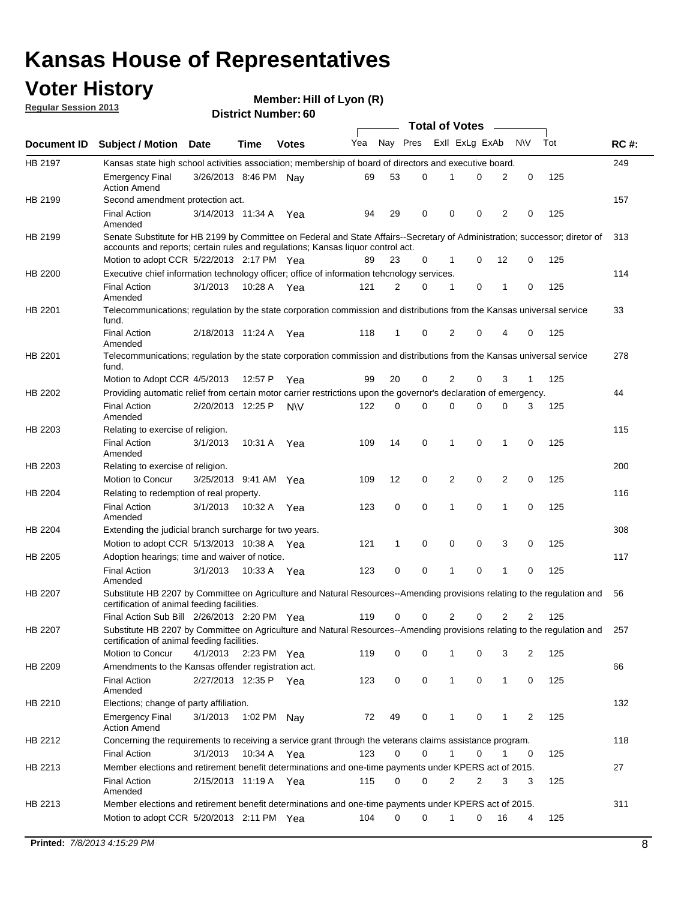## **Voter History**

**Member: Hill of Lyon (R)** 

**Regular Session 2013**

|                |                                                                                                                                                                             |                       |             |              |     |             | <b>Total of Votes</b> |                |   |                |              |     |             |
|----------------|-----------------------------------------------------------------------------------------------------------------------------------------------------------------------------|-----------------------|-------------|--------------|-----|-------------|-----------------------|----------------|---|----------------|--------------|-----|-------------|
| Document ID    | <b>Subject / Motion Date</b>                                                                                                                                                |                       | Time        | <b>Votes</b> | Yea | Nay Pres    |                       | Exll ExLg ExAb |   |                | <b>NV</b>    | Tot | <b>RC#:</b> |
| HB 2197        | Kansas state high school activities association; membership of board of directors and executive board.                                                                      |                       |             |              |     |             |                       |                |   |                |              |     | 249         |
|                | <b>Emergency Final</b><br><b>Action Amend</b>                                                                                                                               | 3/26/2013 8:46 PM Nay |             |              | 69  | 53          | 0                     |                | 0 | 2              | 0            | 125 |             |
| HB 2199        | Second amendment protection act.                                                                                                                                            |                       |             |              |     |             |                       |                |   |                |              |     | 157         |
|                | <b>Final Action</b><br>Amended                                                                                                                                              | 3/14/2013 11:34 A     |             | Yea          | 94  | 29          | 0                     | 0              | 0 | 2              | 0            | 125 |             |
| HB 2199        | Senate Substitute for HB 2199 by Committee on Federal and State Affairs--Secretary of Administration; successor; diretor of                                                 |                       |             |              |     |             |                       |                |   |                |              |     | 313         |
|                | accounts and reports; certain rules and regulations; Kansas liquor control act.                                                                                             |                       |             |              |     |             |                       |                |   |                |              |     |             |
|                | Motion to adopt CCR 5/22/2013 2:17 PM Yea                                                                                                                                   |                       |             |              | 89  | 23          | 0                     | 1              | 0 | 12             | 0            | 125 |             |
| HB 2200        | Executive chief information technology officer; office of information tehcnology services.                                                                                  |                       |             |              |     |             |                       |                |   |                |              |     | 114         |
|                | <b>Final Action</b><br>Amended                                                                                                                                              | 3/1/2013              | 10:28 A     | Yea          | 121 | 2           | 0                     | 1              | 0 | 1              | 0            | 125 |             |
| HB 2201        | Telecommunications; regulation by the state corporation commission and distributions from the Kansas universal service<br>fund.                                             |                       |             |              |     |             |                       |                |   |                |              |     | 33          |
|                | <b>Final Action</b><br>Amended                                                                                                                                              | 2/18/2013 11:24 A     |             | Yea          | 118 | 1           | 0                     | 2              | 0 | 4              | 0            | 125 |             |
| HB 2201        | Telecommunications; regulation by the state corporation commission and distributions from the Kansas universal service<br>fund.                                             |                       |             |              |     |             |                       |                |   |                |              |     | 278         |
|                | Motion to Adopt CCR 4/5/2013                                                                                                                                                |                       | 12:57 P     | Yea          | 99  | 20          | 0                     | 2              | 0 | 3              | $\mathbf{1}$ | 125 |             |
| HB 2202        | Providing automatic relief from certain motor carrier restrictions upon the governor's declaration of emergency.                                                            |                       |             |              |     |             |                       |                |   |                |              |     | 44          |
|                | <b>Final Action</b><br>Amended                                                                                                                                              | 2/20/2013 12:25 P     |             | <b>NV</b>    | 122 | 0           | 0                     | 0              | 0 | 0              | 3            | 125 |             |
| HB 2203        | Relating to exercise of religion.                                                                                                                                           |                       |             |              |     |             |                       |                |   |                |              |     | 115         |
|                | <b>Final Action</b><br>Amended                                                                                                                                              | 3/1/2013              | 10:31 A     | Yea          | 109 | 14          | 0                     | 1              | 0 | 1              | 0            | 125 |             |
| HB 2203        | Relating to exercise of religion.                                                                                                                                           |                       |             |              |     |             |                       |                |   |                |              |     | 200         |
|                | Motion to Concur                                                                                                                                                            | 3/25/2013 9:41 AM     |             | Yea          | 109 | 12          | 0                     | 2              | 0 | 2              | 0            | 125 |             |
| HB 2204        | Relating to redemption of real property.                                                                                                                                    |                       |             |              |     |             |                       |                |   |                |              |     | 116         |
|                | <b>Final Action</b><br>Amended                                                                                                                                              | 3/1/2013              | 10:32 A     | Yea          | 123 | $\mathbf 0$ | 0                     | 1              | 0 | $\mathbf{1}$   | 0            | 125 |             |
| HB 2204        | Extending the judicial branch surcharge for two years.                                                                                                                      |                       |             |              |     |             |                       |                |   |                |              |     | 308         |
|                | Motion to adopt CCR 5/13/2013 10:38 A Yea                                                                                                                                   |                       |             |              | 121 | 1           | 0                     | 0              | 0 | 3              | 0            | 125 |             |
| HB 2205        | Adoption hearings; time and waiver of notice.                                                                                                                               |                       |             |              |     |             |                       |                |   |                |              |     | 117         |
|                | <b>Final Action</b><br>Amended                                                                                                                                              | 3/1/2013              | 10:33 A Yea |              | 123 | 0           | 0                     | 1              | 0 | 1              | 0            | 125 |             |
| HB 2207        | Substitute HB 2207 by Committee on Agriculture and Natural Resources--Amending provisions relating to the regulation and<br>certification of animal feeding facilities.     |                       |             |              |     |             |                       |                |   |                |              |     | 56          |
|                | Final Action Sub Bill 2/26/2013 2:20 PM Yea                                                                                                                                 |                       |             |              | 119 | 0           | 0                     | 2              | 0 | $\overline{2}$ | 2            | 125 |             |
| <b>HB 2207</b> | Substitute HB 2207 by Committee on Agriculture and Natural Resources--Amending provisions relating to the regulation and 257<br>certification of animal feeding facilities. |                       |             |              |     |             |                       |                |   |                |              |     |             |
|                | Motion to Concur                                                                                                                                                            | 4/1/2013              | 2:23 PM Yea |              | 119 | 0           | 0                     | 1              | 0 | 3              | 2            | 125 |             |
| HB 2209        | Amendments to the Kansas offender registration act.                                                                                                                         |                       |             |              |     |             |                       |                |   |                |              |     | 66          |
|                | <b>Final Action</b><br>Amended                                                                                                                                              | 2/27/2013 12:35 P Yea |             |              | 123 | 0           | 0                     | $\mathbf{1}$   | 0 | $\mathbf{1}$   | 0            | 125 |             |
| HB 2210        | Elections; change of party affiliation.                                                                                                                                     |                       |             |              |     |             |                       |                |   |                |              |     | 132         |
|                | <b>Emergency Final</b><br><b>Action Amend</b>                                                                                                                               | 3/1/2013              | 1:02 PM Nay |              | 72  | 49          | 0                     |                | 0 | 1              | 2            | 125 |             |
| HB 2212        | Concerning the requirements to receiving a service grant through the veterans claims assistance program.                                                                    |                       |             |              |     |             |                       |                |   |                |              |     | 118         |
|                | <b>Final Action</b>                                                                                                                                                         | 3/1/2013              | 10:34 A Yea |              | 123 | 0           | 0                     | $\mathbf{1}$   | 0 | 1              | 0            | 125 |             |
| HB 2213        | Member elections and retirement benefit determinations and one-time payments under KPERS act of 2015.                                                                       |                       |             |              |     |             |                       |                |   |                |              |     | 27          |
|                | <b>Final Action</b><br>Amended                                                                                                                                              | 2/15/2013 11:19 A Yea |             |              | 115 | 0           | 0                     | 2              | 2 | 3              | 3            | 125 |             |
| HB 2213        | Member elections and retirement benefit determinations and one-time payments under KPERS act of 2015.                                                                       |                       |             |              |     |             |                       |                |   |                |              |     | 311         |
|                | Motion to adopt CCR 5/20/2013 2:11 PM Yea                                                                                                                                   |                       |             |              | 104 | $\Omega$    | 0                     | 1              | 0 | 16             | 4            | 125 |             |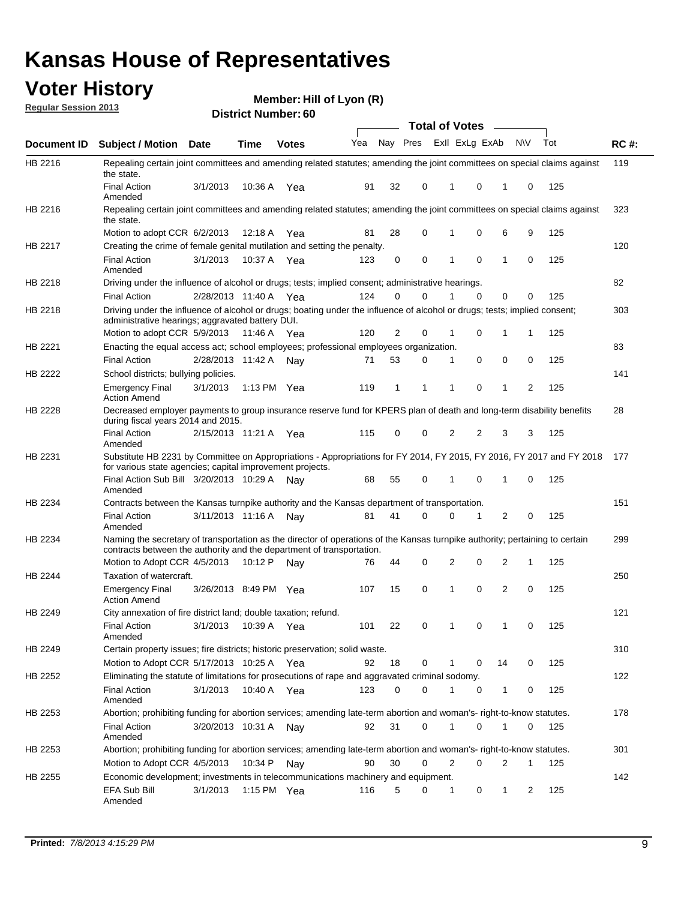## **Voter History**

**Member: Hill of Lyon (R)** 

**Regular Session 2013**

|                |                                                                                                                                                                                                               |                       |               |              |     |          |          | <b>Total of Votes</b> |          | $\overline{\phantom{a}}$ |           |     |             |
|----------------|---------------------------------------------------------------------------------------------------------------------------------------------------------------------------------------------------------------|-----------------------|---------------|--------------|-----|----------|----------|-----------------------|----------|--------------------------|-----------|-----|-------------|
| Document ID    | Subject / Motion Date                                                                                                                                                                                         |                       | <b>Time</b>   | <b>Votes</b> | Yea | Nay Pres |          | Exll ExLg ExAb        |          |                          | <b>NV</b> | Tot | <b>RC#:</b> |
| HB 2216        | Repealing certain joint committees and amending related statutes; amending the joint committees on special claims against<br>the state.                                                                       |                       |               |              |     |          |          |                       |          |                          |           |     | 119         |
|                | <b>Final Action</b><br>Amended                                                                                                                                                                                | 3/1/2013              | 10:36 A       | Yea          | 91  | 32       | 0        | 1                     | 0        | 1                        | 0         | 125 |             |
| HB 2216        | Repealing certain joint committees and amending related statutes; amending the joint committees on special claims against<br>the state.                                                                       |                       |               |              |     |          |          |                       |          |                          |           |     | 323         |
|                | Motion to adopt CCR 6/2/2013                                                                                                                                                                                  |                       | 12:18 A       | Yea          | 81  | 28       | 0        | 1                     | 0        | 6                        | 9         | 125 |             |
| HB 2217        | Creating the crime of female genital mutilation and setting the penalty.                                                                                                                                      |                       |               |              |     |          |          |                       |          |                          |           |     | 120         |
|                | <b>Final Action</b><br>Amended                                                                                                                                                                                | 3/1/2013              | 10:37 A Yea   |              | 123 | 0        | 0        | 1                     | 0        | 1                        | 0         | 125 |             |
| HB 2218        | Driving under the influence of alcohol or drugs; tests; implied consent; administrative hearings.                                                                                                             |                       |               |              |     |          |          |                       |          |                          |           |     | 82          |
|                | <b>Final Action</b>                                                                                                                                                                                           | 2/28/2013 11:40 A Yea |               |              | 124 | 0        | $\Omega$ |                       | $\Omega$ | 0                        | 0         | 125 |             |
| HB 2218        | Driving under the influence of alcohol or drugs; boating under the influence of alcohol or drugs; tests; implied consent;<br>administrative hearings; aggravated battery DUI.<br>Motion to adopt CCR 5/9/2013 |                       | 11:46 A Yea   |              | 120 | 2        | 0        | 1                     | 0        | 1                        | 1         | 125 | 303         |
|                |                                                                                                                                                                                                               |                       |               |              |     |          |          |                       |          |                          |           |     |             |
| HB 2221        | Enacting the equal access act; school employees; professional employees organization.                                                                                                                         |                       |               |              |     |          |          |                       |          |                          |           |     | 83          |
|                | <b>Final Action</b>                                                                                                                                                                                           | 2/28/2013 11:42 A     |               | Nay          | 71  | 53       | 0        | 1                     | 0        | 0                        | 0         | 125 |             |
| HB 2222        | School districts; bullying policies.<br>Emergency Final<br><b>Action Amend</b>                                                                                                                                | 3/1/2013              | 1:13 PM $Yea$ |              | 119 | 1        | 1        | 1                     | 0        | 1                        | 2         | 125 | 141         |
| HB 2228        | Decreased employer payments to group insurance reserve fund for KPERS plan of death and long-term disability benefits<br>during fiscal years 2014 and 2015.                                                   |                       |               |              |     |          |          |                       |          |                          |           |     | 28          |
|                | <b>Final Action</b><br>Amended                                                                                                                                                                                | 2/15/2013 11:21 A Yea |               |              | 115 | 0        | 0        | 2                     | 2        | 3                        | 3         | 125 |             |
| HB 2231        | Substitute HB 2231 by Committee on Appropriations - Appropriations for FY 2014, FY 2015, FY 2016, FY 2017 and FY 2018 177<br>for various state agencies; capital improvement projects.                        |                       |               |              |     |          |          |                       |          |                          |           |     |             |
|                | Final Action Sub Bill 3/20/2013 10:29 A<br>Amended                                                                                                                                                            |                       |               | Nav          | 68  | 55       | 0        | 1                     | 0        | 1                        | 0         | 125 |             |
| HB 2234        | Contracts between the Kansas turnpike authority and the Kansas department of transportation.                                                                                                                  |                       |               |              |     |          |          |                       |          |                          |           |     | 151         |
|                | <b>Final Action</b><br>Amended                                                                                                                                                                                | 3/11/2013 11:16 A     |               | Nay          | 81  | 41       | 0        | 0                     | 1        | 2                        | 0         | 125 |             |
| HB 2234        | Naming the secretary of transportation as the director of operations of the Kansas turnpike authority; pertaining to certain<br>contracts between the authority and the department of transportation.         |                       |               |              |     |          |          |                       |          |                          |           |     | 299         |
|                | Motion to Adopt CCR 4/5/2013                                                                                                                                                                                  |                       | 10:12 P       | Nav          | 76  | 44       | 0        | 2                     | 0        | 2                        | 1         | 125 |             |
| <b>HB 2244</b> | Taxation of watercraft.<br><b>Emergency Final</b>                                                                                                                                                             | 3/26/2013 8:49 PM Yea |               |              | 107 | 15       | 0        | 1                     | 0        | 2                        | 0         | 125 | 250         |
|                | <b>Action Amend</b>                                                                                                                                                                                           |                       |               |              |     |          |          |                       |          |                          |           |     |             |
| HB 2249        | City annexation of fire district land; double taxation; refund.                                                                                                                                               |                       |               |              |     |          |          |                       |          |                          |           |     | 121         |
|                | Final Action<br>Amended                                                                                                                                                                                       | 3/1/2013 10:39 A Yea  |               |              | 101 | 22       | 0        | $\mathbf{1}$          | $\cap$   | 1                        | $\Omega$  | 125 |             |
| HB 2249        | Certain property issues; fire districts; historic preservation; solid waste.                                                                                                                                  |                       |               |              |     |          |          |                       |          |                          |           |     | 310         |
|                | Motion to Adopt CCR 5/17/2013 10:25 A Yea                                                                                                                                                                     |                       |               |              | 92  | 18       | 0        |                       | 0        | 14                       | 0         | 125 |             |
| HB 2252        | Eliminating the statute of limitations for prosecutions of rape and aggravated criminal sodomy.                                                                                                               |                       |               |              |     |          |          |                       |          |                          |           |     | 122         |
|                | <b>Final Action</b><br>Amended                                                                                                                                                                                | 3/1/2013              | 10:40 A Yea   |              | 123 | 0        | 0        |                       | 0        | 1                        | 0         | 125 |             |
| HB 2253        | Abortion; prohibiting funding for abortion services; amending late-term abortion and woman's- right-to-know statutes.                                                                                         |                       |               |              |     |          |          |                       |          |                          |           |     | 178         |
|                | <b>Final Action</b><br>Amended                                                                                                                                                                                | 3/20/2013 10:31 A     |               | Nav          | 92  | 31       | 0        | 1                     | 0        | 1                        | 0         | 125 |             |
| HB 2253        | Abortion; prohibiting funding for abortion services; amending late-term abortion and woman's- right-to-know statutes.                                                                                         |                       |               |              |     |          |          |                       |          |                          |           |     | 301         |
|                | Motion to Adopt CCR 4/5/2013                                                                                                                                                                                  |                       | 10:34 P Nay   |              | 90  | 30       | 0        | 2                     | 0        | 2                        | 1         | 125 |             |
| HB 2255        | Economic development; investments in telecommunications machinery and equipment.                                                                                                                              |                       |               |              |     |          |          |                       |          |                          |           |     | 142         |
|                | EFA Sub Bill<br>Amended                                                                                                                                                                                       | 3/1/2013              |               | 1:15 PM Yea  | 116 | 5        | 0        | -1                    | 0        | 1                        | 2         | 125 |             |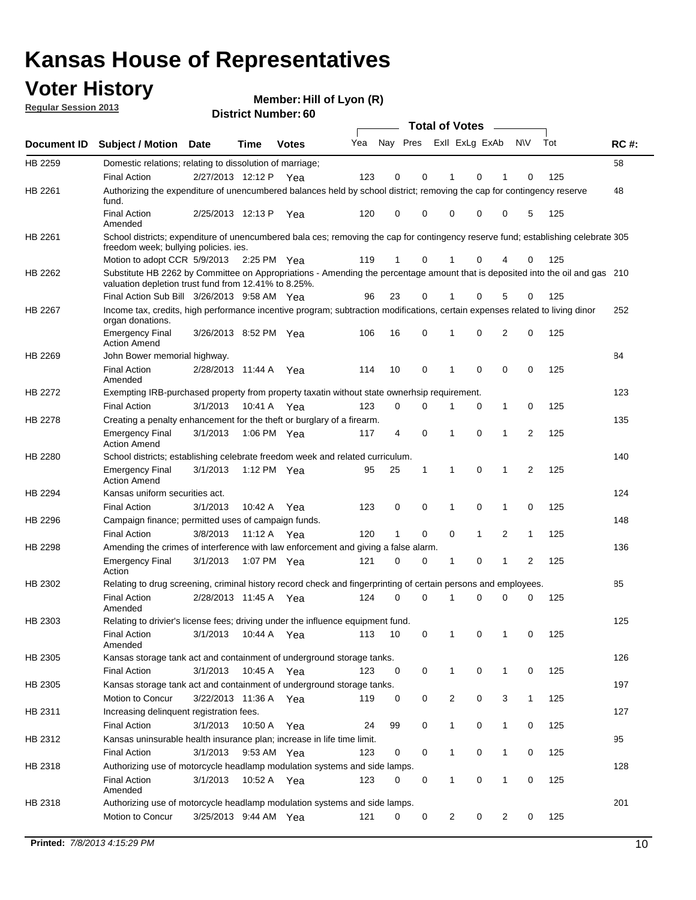## **Voter History**

**Member: Hill of Lyon (R)** 

**Regular Session 2013**

|             |                                                                                                                                                                                       |                       |             |              |     |                         |              | <b>Total of Votes</b> |             | $\frac{1}{2}$  |                |     |     |
|-------------|---------------------------------------------------------------------------------------------------------------------------------------------------------------------------------------|-----------------------|-------------|--------------|-----|-------------------------|--------------|-----------------------|-------------|----------------|----------------|-----|-----|
| Document ID | <b>Subject / Motion Date</b>                                                                                                                                                          |                       | <b>Time</b> | <b>Votes</b> | Yea | Nay Pres Exll ExLg ExAb |              |                       |             |                | <b>NV</b>      | Tot | RC# |
| HB 2259     | Domestic relations; relating to dissolution of marriage;                                                                                                                              |                       |             |              |     |                         |              |                       |             |                |                |     | 58  |
|             | <b>Final Action</b>                                                                                                                                                                   | 2/27/2013 12:12 P     |             | Yea          | 123 | 0                       | 0            | 1                     | 0           | 1              | 0              | 125 |     |
| HB 2261     | Authorizing the expenditure of unencumbered balances held by school district; removing the cap for contingency reserve<br>fund.                                                       |                       |             |              |     |                         |              |                       |             |                |                |     | 48  |
|             | <b>Final Action</b><br>Amended                                                                                                                                                        | 2/25/2013 12:13 P     |             | Yea          | 120 | 0                       | $\Omega$     | 0                     | 0           | 0              | 5              | 125 |     |
| HB 2261     | School districts; expenditure of unencumbered bala ces; removing the cap for contingency reserve fund; establishing celebrate 305<br>freedom week; bullying policies, ies.            |                       |             |              |     |                         |              |                       |             |                |                |     |     |
|             | Motion to adopt CCR 5/9/2013                                                                                                                                                          |                       | 2:25 PM Yea |              | 119 | 1                       | 0            | 1                     | 0           | 4              | 0              | 125 |     |
| HB 2262     | Substitute HB 2262 by Committee on Appropriations - Amending the percentage amount that is deposited into the oil and gas 210<br>valuation depletion trust fund from 12.41% to 8.25%. |                       |             |              |     |                         |              |                       |             |                |                |     |     |
|             | Final Action Sub Bill 3/26/2013 9:58 AM Yea                                                                                                                                           |                       |             |              | 96  | 23                      | 0            |                       | 0           | 5              | 0              | 125 |     |
| HB 2267     | Income tax, credits, high performance incentive program; subtraction modifications, certain expenses related to living dinor<br>organ donations.                                      |                       |             |              |     |                         |              |                       |             |                |                |     | 252 |
|             | <b>Emergency Final</b><br><b>Action Amend</b>                                                                                                                                         | 3/26/2013 8:52 PM Yea |             |              | 106 | 16                      | 0            | 1                     | 0           | $\overline{2}$ | 0              | 125 |     |
| HB 2269     | John Bower memorial highway.                                                                                                                                                          |                       |             |              |     |                         |              |                       |             |                |                |     | 84  |
|             | <b>Final Action</b><br>Amended                                                                                                                                                        | 2/28/2013 11:44 A     |             | Yea          | 114 | 10                      | 0            | 1                     | $\mathbf 0$ | 0              | 0              | 125 |     |
| HB 2272     | Exempting IRB-purchased property from property taxatin without state ownerhsip requirement.                                                                                           |                       |             |              |     |                         |              |                       |             |                |                |     | 123 |
|             | <b>Final Action</b>                                                                                                                                                                   | 3/1/2013              | 10:41 A     | Yea          | 123 | 0                       | 0            | 1                     | 0           | 1              | 0              | 125 |     |
| HB 2278     | Creating a penalty enhancement for the theft or burglary of a firearm.                                                                                                                |                       |             |              |     |                         |              |                       |             |                |                |     | 135 |
|             | <b>Emergency Final</b><br><b>Action Amend</b>                                                                                                                                         | 3/1/2013              | 1:06 PM Yea |              | 117 | 4                       | 0            | 1                     | 0           | 1              | $\overline{2}$ | 125 |     |
| HB 2280     | School districts; establishing celebrate freedom week and related curriculum.                                                                                                         |                       |             |              |     |                         |              |                       |             |                |                |     | 140 |
|             | <b>Emergency Final</b><br><b>Action Amend</b>                                                                                                                                         | 3/1/2013              | 1:12 PM Yea |              | 95  | 25                      | $\mathbf{1}$ | 1                     | 0           | 1              | 2              | 125 |     |
| HB 2294     | Kansas uniform securities act.                                                                                                                                                        |                       |             |              |     |                         |              |                       |             |                |                |     | 124 |
|             | <b>Final Action</b>                                                                                                                                                                   | 3/1/2013              | 10:42 A Yea |              | 123 | 0                       | 0            | 1                     | 0           | $\mathbf 1$    | 0              | 125 |     |
| HB 2296     | Campaign finance; permitted uses of campaign funds.                                                                                                                                   |                       |             |              |     |                         |              |                       |             |                |                |     | 148 |
|             | <b>Final Action</b>                                                                                                                                                                   | 3/8/2013              | 11:12 A Yea |              | 120 | 1                       | 0            | 0                     | 1           | $\overline{2}$ | 1              | 125 |     |
| HB 2298     | Amending the crimes of interference with law enforcement and giving a false alarm.                                                                                                    |                       |             |              |     |                         |              |                       |             |                |                |     | 136 |
|             | <b>Emergency Final</b><br>Action                                                                                                                                                      | 3/1/2013              | 1:07 PM Yea |              | 121 | 0                       | 0            | 1                     | 0           | 1              | 2              | 125 |     |
| HB 2302     | Relating to drug screening, criminal history record check and fingerprinting of certain persons and employees.                                                                        |                       |             |              |     |                         |              |                       |             |                |                |     | 85  |
|             | <b>Final Action</b><br>Amended                                                                                                                                                        | 2/28/2013 11:45 A     |             | Yea          | 124 | 0                       | $\Omega$     | 1                     | 0           | 0              | 0              | 125 |     |
| HB 2303     | Relating to drivier's license fees; driving under the influence equipment fund.                                                                                                       |                       |             |              |     |                         |              |                       |             |                |                |     | 125 |
|             | <b>Final Action</b><br>Amended                                                                                                                                                        | 3/1/2013              | 10:44 A     | Yea          | 113 | 10                      | 0            |                       | 0           |                | 0              | 125 |     |
| HB 2305     | Kansas storage tank act and containment of underground storage tanks.                                                                                                                 |                       |             |              |     |                         |              |                       |             |                |                |     | 126 |
|             | <b>Final Action</b>                                                                                                                                                                   | 3/1/2013              | 10:45 A     | Yea          | 123 | 0                       | 0            | 1                     | 0           | $\mathbf{1}$   | 0              | 125 |     |
| HB 2305     | Kansas storage tank act and containment of underground storage tanks.                                                                                                                 |                       |             |              |     |                         |              |                       |             |                |                |     | 197 |
|             | Motion to Concur                                                                                                                                                                      | 3/22/2013 11:36 A     |             | Yea          | 119 | 0                       | 0            | $\overline{c}$        | 0           | 3              | $\mathbf{1}$   | 125 |     |
| HB 2311     | Increasing delinquent registration fees.                                                                                                                                              |                       |             |              |     |                         |              |                       |             |                |                |     | 127 |
|             | <b>Final Action</b>                                                                                                                                                                   | 3/1/2013              | 10:50 A     | Yea          | 24  | 99                      | 0            | 1                     | 0           | $\mathbf{1}$   | 0              | 125 |     |
| HB 2312     | Kansas uninsurable health insurance plan; increase in life time limit.                                                                                                                |                       |             |              |     |                         |              |                       |             |                |                |     | 95  |
|             | <b>Final Action</b>                                                                                                                                                                   | 3/1/2013              | 9:53 AM Yea |              | 123 | 0                       | 0            | 1                     | 0           | 1              | 0              | 125 |     |
| HB 2318     | Authorizing use of motorcycle headlamp modulation systems and side lamps.                                                                                                             |                       |             |              |     |                         |              |                       |             |                |                |     | 128 |
|             | <b>Final Action</b><br>Amended                                                                                                                                                        | 3/1/2013              | 10:52 A Yea |              | 123 | 0                       | 0            | 1                     | 0           | 1              | 0              | 125 |     |
| HB 2318     | Authorizing use of motorcycle headlamp modulation systems and side lamps.                                                                                                             |                       |             |              |     |                         |              |                       |             |                |                |     | 201 |
|             | Motion to Concur                                                                                                                                                                      | 3/25/2013 9:44 AM Yea |             |              | 121 | 0                       | 0            | 2                     | 0           | 2              | 0              | 125 |     |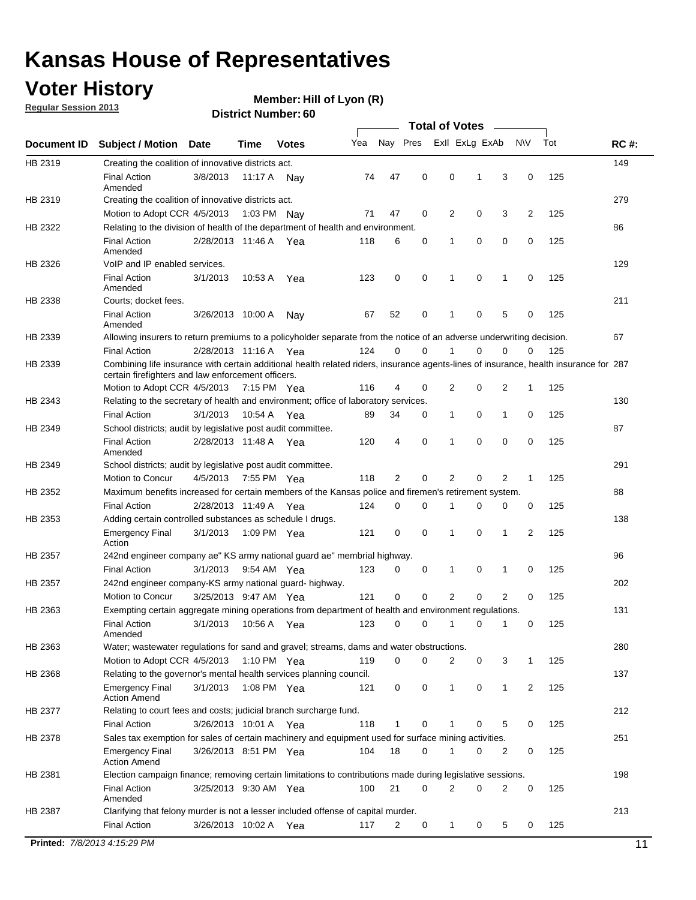## **Voter History**

**Member: Hill of Lyon (R)** 

**Regular Session 2013**

|             |                                                                                                                                                                                             |                       |             |              |     |             |             | <b>Total of Votes</b> |   |                |           |     |             |
|-------------|---------------------------------------------------------------------------------------------------------------------------------------------------------------------------------------------|-----------------------|-------------|--------------|-----|-------------|-------------|-----------------------|---|----------------|-----------|-----|-------------|
| Document ID | <b>Subject / Motion</b>                                                                                                                                                                     | Date                  | Time        | <b>Votes</b> | Yea | Nay Pres    |             | Exll ExLg ExAb        |   |                | <b>NV</b> | Tot | <b>RC#:</b> |
| HB 2319     | Creating the coalition of innovative districts act.                                                                                                                                         |                       |             |              |     |             |             |                       |   |                |           |     | 149         |
|             | <b>Final Action</b><br>Amended                                                                                                                                                              | 3/8/2013              | 11:17 A     | Nav          | 74  | 47          | 0           | 0                     | 1 | 3              | 0         | 125 |             |
| HB 2319     | Creating the coalition of innovative districts act.                                                                                                                                         |                       |             |              |     |             |             |                       |   |                |           |     | 279         |
|             | Motion to Adopt CCR 4/5/2013                                                                                                                                                                |                       | 1:03 PM Nay |              | 71  | 47          | 0           | 2                     | 0 | 3              | 2         | 125 |             |
| HB 2322     | Relating to the division of health of the department of health and environment.                                                                                                             |                       |             |              |     |             |             |                       |   |                |           |     | 86          |
|             | <b>Final Action</b><br>Amended                                                                                                                                                              | 2/28/2013 11:46 A Yea |             |              | 118 | 6           | 0           | 1                     | 0 | 0              | 0         | 125 |             |
| HB 2326     | VoIP and IP enabled services.                                                                                                                                                               |                       |             |              |     |             |             |                       |   |                |           |     | 129         |
|             | <b>Final Action</b><br>Amended                                                                                                                                                              | 3/1/2013              | 10:53 A     | Yea          | 123 | 0           | 0           | $\mathbf{1}$          | 0 | 1              | 0         | 125 |             |
| HB 2338     | Courts; docket fees.                                                                                                                                                                        |                       |             |              |     |             |             |                       |   |                |           |     | 211         |
|             | <b>Final Action</b><br>Amended                                                                                                                                                              | 3/26/2013 10:00 A     |             | Nav          | 67  | 52          | 0           | 1                     | 0 | 5              | 0         | 125 |             |
| HB 2339     | Allowing insurers to return premiums to a policyholder separate from the notice of an adverse underwriting decision.                                                                        |                       |             |              |     |             |             |                       |   |                |           |     | 67          |
|             | <b>Final Action</b>                                                                                                                                                                         | 2/28/2013 11:16 A Yea |             |              | 124 | 0           | 0           |                       | 0 | 0              | 0         | 125 |             |
| HB 2339     | Combining life insurance with certain additional health related riders, insurance agents-lines of insurance, health insurance for 287<br>certain firefighters and law enforcement officers. |                       |             |              |     |             |             |                       |   |                |           |     |             |
|             | Motion to Adopt CCR 4/5/2013 7:15 PM Yea                                                                                                                                                    |                       |             |              | 116 | 4           | 0           | 2                     | 0 | 2              | -1        | 125 |             |
| HB 2343     | Relating to the secretary of health and environment; office of laboratory services.                                                                                                         |                       |             |              |     |             |             |                       |   |                |           |     | 130         |
|             | <b>Final Action</b>                                                                                                                                                                         | 3/1/2013              | 10:54 A Yea |              | 89  | 34          | 0           | 1                     | 0 | 1              | 0         | 125 |             |
| HB 2349     | School districts; audit by legislative post audit committee.                                                                                                                                |                       |             |              |     |             |             |                       |   |                |           |     | 87          |
|             | <b>Final Action</b><br>Amended                                                                                                                                                              | 2/28/2013 11:48 A Yea |             |              | 120 | 4           | $\mathbf 0$ | 1                     | 0 | 0              | 0         | 125 |             |
| HB 2349     | School districts; audit by legislative post audit committee.                                                                                                                                |                       |             |              |     |             |             |                       |   |                |           |     | 291         |
|             | Motion to Concur                                                                                                                                                                            | 4/5/2013              | 7:55 PM Yea |              | 118 | 2           | $\mathbf 0$ | 2                     | 0 | 2              | 1         | 125 |             |
| HB 2352     | Maximum benefits increased for certain members of the Kansas police and firemen's retirement system.                                                                                        |                       |             |              |     |             |             |                       |   |                |           |     | 88          |
|             | <b>Final Action</b>                                                                                                                                                                         | 2/28/2013 11:49 A     |             | Yea          | 124 | 0           | 0           | 1                     | 0 | 0              | 0         | 125 |             |
| HB 2353     | Adding certain controlled substances as schedule I drugs.                                                                                                                                   |                       |             |              |     |             |             |                       |   |                |           |     | 138         |
|             | <b>Emergency Final</b><br>Action                                                                                                                                                            | 3/1/2013              | 1:09 PM Yea |              | 121 | 0           | 0           | 1                     | 0 | 1              | 2         | 125 |             |
| HB 2357     | 242nd engineer company ae" KS army national guard ae" membrial highway.                                                                                                                     |                       |             |              |     |             |             |                       |   |                |           |     | 96          |
|             | <b>Final Action</b>                                                                                                                                                                         | 3/1/2013              | 9:54 AM Yea |              | 123 | 0           | 0           | 1                     | 0 | 1              | 0         | 125 |             |
| HB 2357     | 242nd engineer company-KS army national guard- highway.                                                                                                                                     |                       |             |              |     |             |             |                       |   |                |           |     | 202         |
|             | Motion to Concur                                                                                                                                                                            | 3/25/2013 9:47 AM Yea |             |              | 121 | $\mathbf 0$ | $\mathbf 0$ | $\overline{2}$        | 0 | $\overline{2}$ | 0         | 125 |             |
| HB 2363     | Exempting certain aggregate mining operations from department of health and environment regulations.                                                                                        |                       |             |              |     |             |             |                       |   |                |           |     | 131         |
|             | <b>Final Action</b><br>Amended                                                                                                                                                              | 3/1/2013              | 10:56 A     | Yea          | 123 | 0           | 0           | 1                     | 0 | 1              | 0         | 125 |             |
| HB 2363     | Water; wastewater regulations for sand and gravel; streams, dams and water obstructions.                                                                                                    |                       |             |              |     |             |             |                       |   |                |           |     | 280         |
|             | Motion to Adopt CCR 4/5/2013                                                                                                                                                                |                       | 1:10 PM Yea |              | 119 | 0           | 0           | 2                     | 0 | 3              |           | 125 |             |
| HB 2368     | Relating to the governor's mental health services planning council.                                                                                                                         |                       |             |              |     |             |             |                       |   |                |           |     | 137         |
|             | Emergency Final<br><b>Action Amend</b>                                                                                                                                                      | 3/1/2013              | 1:08 PM Yea |              | 121 | 0           | 0           | $\mathbf{1}$          | 0 | 1              | 2         | 125 |             |
| HB 2377     | Relating to court fees and costs; judicial branch surcharge fund.                                                                                                                           |                       |             |              |     |             |             |                       |   |                |           |     | 212         |
|             | <b>Final Action</b>                                                                                                                                                                         | 3/26/2013 10:01 A Yea |             |              | 118 | 1           | 0           |                       | 0 | 5              | 0         | 125 |             |
| HB 2378     | Sales tax exemption for sales of certain machinery and equipment used for surface mining activities.                                                                                        |                       |             |              |     |             |             |                       |   |                |           |     | 251         |
|             | <b>Emergency Final</b><br><b>Action Amend</b>                                                                                                                                               | 3/26/2013 8:51 PM Yea |             |              | 104 | 18          | 0           | 1                     | 0 | 2              | 0         | 125 |             |
| HB 2381     | Election campaign finance; removing certain limitations to contributions made during legislative sessions.                                                                                  |                       |             |              |     |             |             |                       |   |                |           |     | 198         |
|             | Final Action<br>Amended                                                                                                                                                                     | 3/25/2013 9:30 AM Yea |             |              | 100 | 21          | 0           | 2                     | 0 | 2              | 0         | 125 |             |
| HB 2387     | Clarifying that felony murder is not a lesser included offense of capital murder.                                                                                                           |                       |             |              |     |             |             |                       |   |                |           |     | 213         |
|             | <b>Final Action</b>                                                                                                                                                                         | 3/26/2013 10:02 A     |             | Yea          | 117 | 2           | 0           | $\mathbf{1}$          | 0 | 5              | 0         | 125 |             |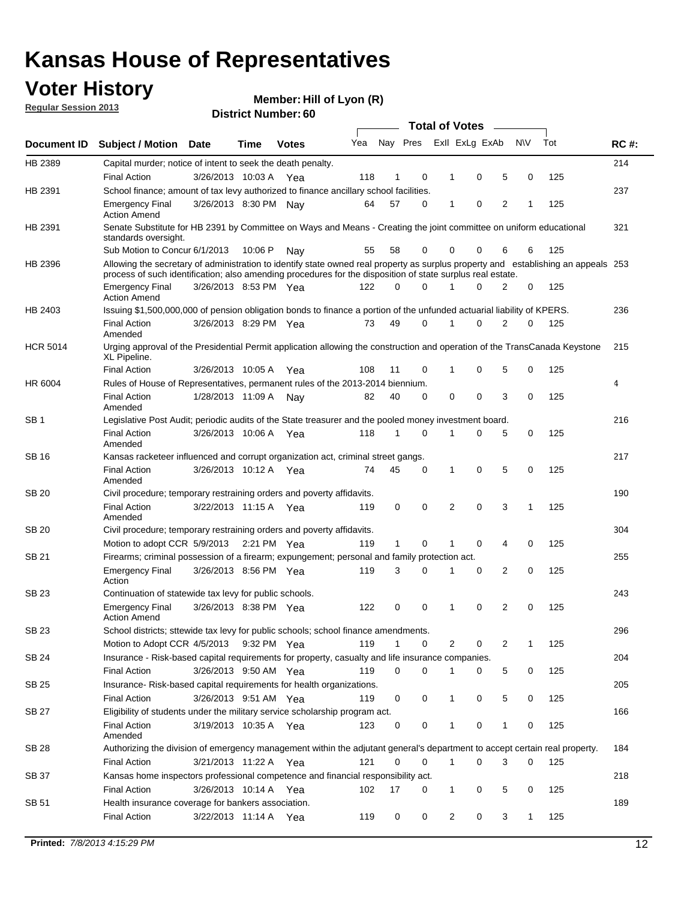## **Voter History**

**Member: Hill of Lyon (R)** 

**Regular Session 2013**

|                 |                                                                                                                                                                                                                                                  |                       |        | טט . וסעווואדו או ווסוע |     |              |          |   | <b>Total of Votes</b>   |                |              |     |             |
|-----------------|--------------------------------------------------------------------------------------------------------------------------------------------------------------------------------------------------------------------------------------------------|-----------------------|--------|-------------------------|-----|--------------|----------|---|-------------------------|----------------|--------------|-----|-------------|
| Document ID     | <b>Subject / Motion Date</b>                                                                                                                                                                                                                     |                       | Time   | <b>Votes</b>            | Yea |              |          |   | Nay Pres Exll ExLg ExAb |                | <b>NV</b>    | Tot | <b>RC#:</b> |
| HB 2389         | Capital murder; notice of intent to seek the death penalty.<br><b>Final Action</b>                                                                                                                                                               | 3/26/2013 10:03 A     |        | Yea                     | 118 | 1            | 0        |   | 0<br>1                  | 5              | 0            | 125 | 214         |
| HB 2391         | School finance; amount of tax levy authorized to finance ancillary school facilities.                                                                                                                                                            |                       |        |                         |     |              |          |   |                         |                |              |     | 237         |
|                 |                                                                                                                                                                                                                                                  | 3/26/2013 8:30 PM Nay |        |                         | 64  | 57           | 0        |   | 0<br>$\mathbf 1$        | 2              | 1            | 125 |             |
|                 | <b>Emergency Final</b><br><b>Action Amend</b>                                                                                                                                                                                                    |                       |        |                         |     |              |          |   |                         |                |              |     |             |
| HB 2391         | Senate Substitute for HB 2391 by Committee on Ways and Means - Creating the joint committee on uniform educational<br>standards oversight.                                                                                                       |                       |        |                         |     |              |          |   |                         |                |              |     | 321         |
|                 | Sub Motion to Concur 6/1/2013                                                                                                                                                                                                                    |                       | 10:06P | Nav                     | 55  | 58           | 0        |   | 0<br>0                  | 6              | 6            | 125 |             |
| HB 2396         | Allowing the secretary of administration to identify state owned real property as surplus property and establishing an appeals 253<br>process of such identification; also amending procedures for the disposition of state surplus real estate. |                       |        |                         |     |              |          |   |                         |                |              |     |             |
|                 | <b>Emergency Final</b><br><b>Action Amend</b>                                                                                                                                                                                                    | 3/26/2013 8:53 PM Yea |        |                         | 122 | 0            | O        |   | O                       | 2              | 0            | 125 |             |
| HB 2403         | Issuing \$1,500,000,000 of pension obligation bonds to finance a portion of the unfunded actuarial liability of KPERS.                                                                                                                           |                       |        |                         |     |              |          |   |                         |                |              |     | 236         |
|                 | <b>Final Action</b><br>Amended                                                                                                                                                                                                                   | 3/26/2013 8:29 PM Yea |        |                         | 73  | 49           | 0        | 1 | 0                       | $\overline{2}$ | 0            | 125 |             |
| <b>HCR 5014</b> | Urging approval of the Presidential Permit application allowing the construction and operation of the TransCanada Keystone<br>XL Pipeline.                                                                                                       |                       |        |                         |     |              |          |   |                         |                |              |     | 215         |
|                 | <b>Final Action</b>                                                                                                                                                                                                                              | 3/26/2013 10:05 A     |        | Yea                     | 108 | 11           | 0        |   | 0<br>1                  | 5              | 0            | 125 |             |
| HR 6004         | Rules of House of Representatives, permanent rules of the 2013-2014 biennium.                                                                                                                                                                    |                       |        |                         |     |              |          |   |                         |                |              |     | 4           |
|                 | <b>Final Action</b><br>Amended                                                                                                                                                                                                                   | 1/28/2013 11:09 A     |        | Nay                     | 82  | 40           | 0        |   | 0<br>0                  | 3              | 0            | 125 |             |
| SB <sub>1</sub> | Legislative Post Audit; periodic audits of the State treasurer and the pooled money investment board.                                                                                                                                            |                       |        |                         |     |              |          |   |                         |                |              |     | 216         |
|                 | <b>Final Action</b><br>Amended                                                                                                                                                                                                                   | 3/26/2013 10:06 A     |        | Yea                     | 118 | 1            | $\Omega$ |   | 0<br>1                  | 5              | 0            | 125 |             |
| SB 16           | Kansas racketeer influenced and corrupt organization act, criminal street gangs.                                                                                                                                                                 |                       |        |                         |     |              |          |   |                         |                |              |     | 217         |
|                 | <b>Final Action</b><br>Amended                                                                                                                                                                                                                   | 3/26/2013 10:12 A Yea |        |                         | 74  | 45           | 0        |   | 0<br>1                  | 5              | 0            | 125 |             |
| <b>SB 20</b>    | Civil procedure; temporary restraining orders and poverty affidavits.                                                                                                                                                                            |                       |        |                         |     |              |          |   |                         |                |              |     | 190         |
|                 | <b>Final Action</b><br>Amended                                                                                                                                                                                                                   | 3/22/2013 11:15 A Yea |        |                         | 119 | 0            | 0        |   | 0<br>$\overline{2}$     | 3              | $\mathbf{1}$ | 125 |             |
| SB 20           | Civil procedure; temporary restraining orders and poverty affidavits.                                                                                                                                                                            |                       |        |                         |     |              |          |   |                         |                |              |     | 304         |
|                 | Motion to adopt CCR 5/9/2013                                                                                                                                                                                                                     |                       |        | 2:21 PM $Yea$           | 119 | $\mathbf{1}$ | 0        | 1 | 0                       | 4              | 0            | 125 |             |
| SB 21           | Firearms; criminal possession of a firearm; expungement; personal and family protection act.                                                                                                                                                     |                       |        |                         |     |              |          |   |                         |                |              |     | 255         |
|                 | <b>Emergency Final</b><br>Action                                                                                                                                                                                                                 | 3/26/2013 8:56 PM Yea |        |                         | 119 | 3            | 0        | 1 | 0                       | 2              | 0            | 125 |             |
| <b>SB 23</b>    | Continuation of statewide tax levy for public schools.                                                                                                                                                                                           |                       |        |                         |     |              |          |   |                         |                |              |     | 243         |
|                 | <b>Emergency Final</b><br><b>Action Amend</b>                                                                                                                                                                                                    | 3/26/2013 8:38 PM Yea |        |                         | 122 | 0            | 0        | 1 | 0                       | 2              | 0            | 125 |             |
| SB 23           | School districts; sttewide tax levy for public schools; school finance amendments.                                                                                                                                                               |                       |        |                         |     |              |          |   |                         |                |              |     | 296         |
|                 | Motion to Adopt CCR 4/5/2013                                                                                                                                                                                                                     |                       |        | 9:32 PM Yea             | 119 | 1            | 0        |   | 2<br>0                  | 2              | 1            | 125 |             |
| <b>SB 24</b>    | Insurance - Risk-based capital requirements for property, casualty and life insurance companies.                                                                                                                                                 |                       |        |                         |     |              |          |   |                         |                |              |     | 204         |
|                 | <b>Final Action</b>                                                                                                                                                                                                                              | 3/26/2013 9:50 AM Yea |        |                         | 119 | 0            | 0        |   | 0<br>1                  | 5              | 0            | 125 |             |
| <b>SB 25</b>    | Insurance-Risk-based capital requirements for health organizations.                                                                                                                                                                              |                       |        |                         |     |              |          |   |                         |                |              |     | 205         |
|                 | <b>Final Action</b>                                                                                                                                                                                                                              | 3/26/2013 9:51 AM Yea |        |                         | 119 | 0            | 0        | 1 | 0                       | 5              | 0            | 125 |             |
| <b>SB 27</b>    | Eligibility of students under the military service scholarship program act.                                                                                                                                                                      |                       |        |                         |     |              |          |   |                         |                |              |     | 166         |
|                 | <b>Final Action</b><br>Amended                                                                                                                                                                                                                   | 3/19/2013 10:35 A Yea |        |                         | 123 | 0            | 0        |   | 0                       | 1              | 0            | 125 |             |
| SB 28           | Authorizing the division of emergency management within the adjutant general's department to accept certain real property.                                                                                                                       |                       |        |                         |     |              |          |   |                         |                |              |     | 184         |
|                 | <b>Final Action</b>                                                                                                                                                                                                                              | 3/21/2013 11:22 A Yea |        |                         | 121 | 0            | 0        |   | $\mathbf{1}$<br>0       | 3              | 0            | 125 |             |
| SB 37           | Kansas home inspectors professional competence and financial responsibility act.                                                                                                                                                                 |                       |        |                         |     |              |          |   |                         |                |              |     | 218         |
|                 | <b>Final Action</b>                                                                                                                                                                                                                              | 3/26/2013 10:14 A Yea |        |                         | 102 | 17           | 0        |   | 0<br>1                  | 5              | 0            | 125 |             |
| SB 51           | Health insurance coverage for bankers association.                                                                                                                                                                                               |                       |        |                         |     |              |          |   |                         |                |              |     | 189         |
|                 | <b>Final Action</b>                                                                                                                                                                                                                              | 3/22/2013 11:14 A Yea |        |                         | 119 | 0            | 0        |   | 2<br>0                  | 3              | 1            | 125 |             |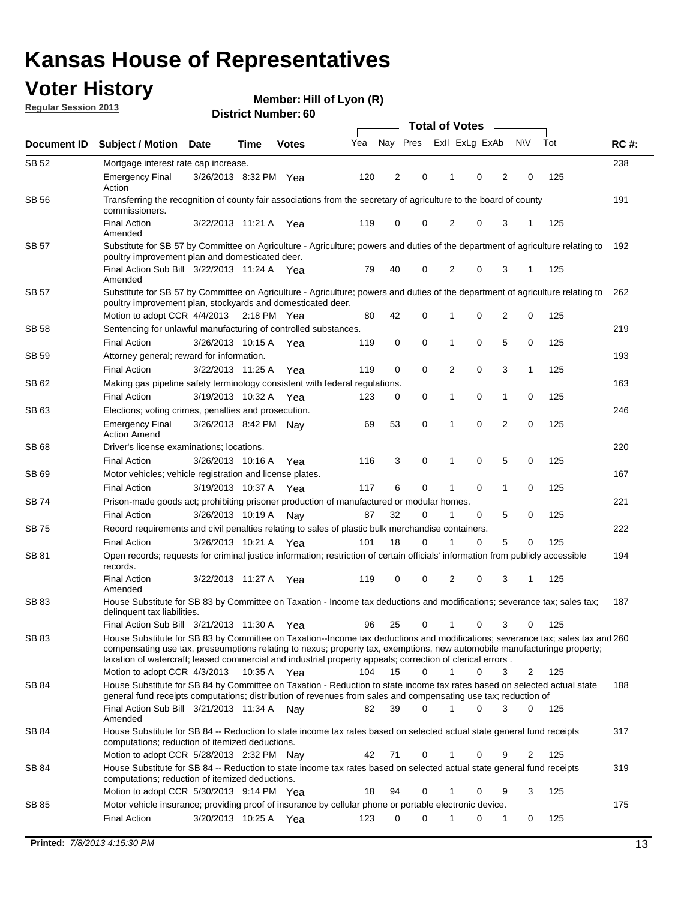## **Voter History**

**Member: Hill of Lyon (R)** 

**Regular Session 2013**

|              |                                                                                                                                                                                                                                                                                                                                                                         |                       |      |              |     | <b>Total of Votes</b> |          |                |             |                |                |     |             |  |
|--------------|-------------------------------------------------------------------------------------------------------------------------------------------------------------------------------------------------------------------------------------------------------------------------------------------------------------------------------------------------------------------------|-----------------------|------|--------------|-----|-----------------------|----------|----------------|-------------|----------------|----------------|-----|-------------|--|
| Document ID  | <b>Subject / Motion</b>                                                                                                                                                                                                                                                                                                                                                 | <b>Date</b>           | Time | <b>Votes</b> | Yea | Nay Pres              |          | Exll ExLg ExAb |             |                | <b>NV</b>      | Tot | <b>RC#:</b> |  |
| SB 52        | Mortgage interest rate cap increase.                                                                                                                                                                                                                                                                                                                                    |                       |      |              |     |                       |          |                |             |                |                |     | 238         |  |
|              | <b>Emergency Final</b><br>Action                                                                                                                                                                                                                                                                                                                                        | 3/26/2013 8:32 PM Yea |      |              | 120 | 2                     | 0        |                | 0           | 2              | 0              | 125 |             |  |
| <b>SB 56</b> | Transferring the recognition of county fair associations from the secretary of agriculture to the board of county<br>commissioners.                                                                                                                                                                                                                                     |                       |      |              |     |                       |          |                |             |                |                |     | 191         |  |
|              | <b>Final Action</b><br>Amended                                                                                                                                                                                                                                                                                                                                          | 3/22/2013 11:21 A     |      | Yea          | 119 | 0                     | 0        | 2              | 0           | 3              | 1              | 125 |             |  |
| SB 57        | Substitute for SB 57 by Committee on Agriculture - Agriculture; powers and duties of the department of agriculture relating to<br>poultry improvement plan and domesticated deer.                                                                                                                                                                                       |                       |      |              |     |                       |          |                |             |                |                |     | 192         |  |
|              | Final Action Sub Bill 3/22/2013 11:24 A Yea<br>Amended                                                                                                                                                                                                                                                                                                                  |                       |      |              | 79  | 40                    | 0        | 2              | 0           | 3              | -1             | 125 |             |  |
| SB 57        | Substitute for SB 57 by Committee on Agriculture - Agriculture; powers and duties of the department of agriculture relating to<br>poultry improvement plan, stockyards and domesticated deer.                                                                                                                                                                           |                       |      |              |     |                       |          |                |             |                |                |     | 262         |  |
|              | Motion to adopt CCR 4/4/2013 2:18 PM Yea                                                                                                                                                                                                                                                                                                                                |                       |      |              | 80  | 42                    | 0        | 1              | 0           | $\overline{2}$ | 0              | 125 |             |  |
| SB 58        | Sentencing for unlawful manufacturing of controlled substances.                                                                                                                                                                                                                                                                                                         |                       |      |              |     |                       |          |                |             |                |                |     | 219         |  |
|              | <b>Final Action</b>                                                                                                                                                                                                                                                                                                                                                     | 3/26/2013 10:15 A     |      | Yea          | 119 | 0                     | 0        | 1              | 0           | 5              | 0              | 125 |             |  |
| SB 59        | Attorney general; reward for information.                                                                                                                                                                                                                                                                                                                               |                       |      |              |     |                       |          |                |             |                |                |     | 193         |  |
|              | <b>Final Action</b>                                                                                                                                                                                                                                                                                                                                                     | 3/22/2013 11:25 A     |      | Yea          | 119 | 0                     | 0        | 2              | 0           | 3              | 1              | 125 |             |  |
| SB 62        | Making gas pipeline safety terminology consistent with federal regulations.                                                                                                                                                                                                                                                                                             |                       |      |              |     |                       |          |                |             |                |                |     | 163         |  |
|              | <b>Final Action</b>                                                                                                                                                                                                                                                                                                                                                     | 3/19/2013 10:32 A     |      | Yea          | 123 | 0                     | 0        | 1              | 0           | 1              | 0              | 125 |             |  |
| SB 63        | Elections; voting crimes, penalties and prosecution.<br><b>Emergency Final</b><br><b>Action Amend</b>                                                                                                                                                                                                                                                                   | 3/26/2013 8:42 PM Nay |      |              | 69  | 53                    | 0        | 1              | $\mathbf 0$ | $\overline{2}$ | $\mathbf 0$    | 125 | 246         |  |
| <b>SB68</b>  | Driver's license examinations; locations.                                                                                                                                                                                                                                                                                                                               |                       |      |              |     |                       |          |                |             |                |                |     | 220         |  |
|              | <b>Final Action</b>                                                                                                                                                                                                                                                                                                                                                     | 3/26/2013 10:16 A     |      | Yea          | 116 | 3                     | 0        | 1              | 0           | 5              | 0              | 125 |             |  |
| SB 69        | Motor vehicles; vehicle registration and license plates.                                                                                                                                                                                                                                                                                                                |                       |      |              |     |                       |          |                |             |                |                |     | 167         |  |
|              | <b>Final Action</b>                                                                                                                                                                                                                                                                                                                                                     | 3/19/2013 10:37 A     |      | Yea          | 117 | 6                     | 0        | 1              | 0           | $\mathbf{1}$   | 0              | 125 |             |  |
| SB 74        | Prison-made goods act; prohibiting prisoner production of manufactured or modular homes.                                                                                                                                                                                                                                                                                |                       |      |              |     |                       |          |                |             |                |                |     | 221         |  |
|              | <b>Final Action</b>                                                                                                                                                                                                                                                                                                                                                     | 3/26/2013 10:19 A     |      | Nay          | 87  | 32                    | 0        | 1              | 0           | 5              | 0              | 125 |             |  |
| SB 75        | Record requirements and civil penalties relating to sales of plastic bulk merchandise containers.                                                                                                                                                                                                                                                                       |                       |      |              |     |                       |          |                |             |                |                |     | 222         |  |
|              | <b>Final Action</b>                                                                                                                                                                                                                                                                                                                                                     | 3/26/2013 10:21 A     |      | Yea          | 101 | 18                    | 0        | 1              | 0           | 5              | 0              | 125 |             |  |
| SB 81        | Open records; requests for criminal justice information; restriction of certain officials' information from publicly accessible<br>records.                                                                                                                                                                                                                             |                       |      |              |     |                       |          |                |             |                |                |     | 194         |  |
|              | <b>Final Action</b><br>Amended                                                                                                                                                                                                                                                                                                                                          | 3/22/2013 11:27 A     |      | Yea          | 119 | 0                     | 0        | 2              | 0           | 3              | 1              | 125 |             |  |
| <b>SB 83</b> | House Substitute for SB 83 by Committee on Taxation - Income tax deductions and modifications; severance tax; sales tax;<br>delinquent tax liabilities.                                                                                                                                                                                                                 |                       |      |              |     |                       |          |                |             |                |                |     | 187         |  |
|              | Final Action Sub Bill 3/21/2013 11:30 A Yea                                                                                                                                                                                                                                                                                                                             |                       |      |              | 96  | 25                    | 0        | $\mathbf{1}$   | 0           | 3              | 0              | 125 |             |  |
| SB 83        | House Substitute for SB 83 by Committee on Taxation--Income tax deductions and modifications; severance tax; sales tax and 260<br>compensating use tax, preseumptions relating to nexus; property tax, exemptions, new automobile manufacturinge property;<br>taxation of watercraft; leased commercial and industrial property appeals; correction of clerical errors. |                       |      |              |     |                       |          |                |             |                |                |     |             |  |
|              | Motion to adopt CCR 4/3/2013 10:35 A Yea                                                                                                                                                                                                                                                                                                                                |                       |      |              | 104 | 15                    | 0        | $\mathbf{1}$   | 0           | 3              | 2              | 125 |             |  |
| SB 84        | House Substitute for SB 84 by Committee on Taxation - Reduction to state income tax rates based on selected actual state<br>general fund receipts computations; distribution of revenues from sales and compensating use tax; reduction of<br>Final Action Sub Bill 3/21/2013 11:34 A Nay                                                                               |                       |      |              | 82  | 39                    | $\Omega$ |                | $\Omega$    | 3              | $\mathbf{0}$   | 125 | 188         |  |
|              | Amended                                                                                                                                                                                                                                                                                                                                                                 |                       |      |              |     |                       |          |                |             |                |                |     |             |  |
| SB 84        | House Substitute for SB 84 -- Reduction to state income tax rates based on selected actual state general fund receipts<br>computations; reduction of itemized deductions.                                                                                                                                                                                               |                       |      |              |     |                       |          |                |             |                |                |     | 317         |  |
|              | Motion to adopt CCR 5/28/2013 2:32 PM Nay                                                                                                                                                                                                                                                                                                                               |                       |      |              | 42  | 71                    | 0        | 1              | 0           | 9              | $\overline{2}$ | 125 |             |  |
| SB 84        | House Substitute for SB 84 -- Reduction to state income tax rates based on selected actual state general fund receipts<br>computations; reduction of itemized deductions.<br>Motion to adopt CCR 5/30/2013 9:14 PM Yea                                                                                                                                                  |                       |      |              | 18  | 94                    | 0        | 1              | 0           | 9              | 3              |     | 319         |  |
|              |                                                                                                                                                                                                                                                                                                                                                                         |                       |      |              |     |                       |          |                |             |                |                | 125 | 175         |  |
| SB 85        | Motor vehicle insurance; providing proof of insurance by cellular phone or portable electronic device.<br><b>Final Action</b>                                                                                                                                                                                                                                           | 3/20/2013 10:25 A Yea |      |              | 123 | $\Omega$              | $\Omega$ |                | 0           | 1              | 0              | 125 |             |  |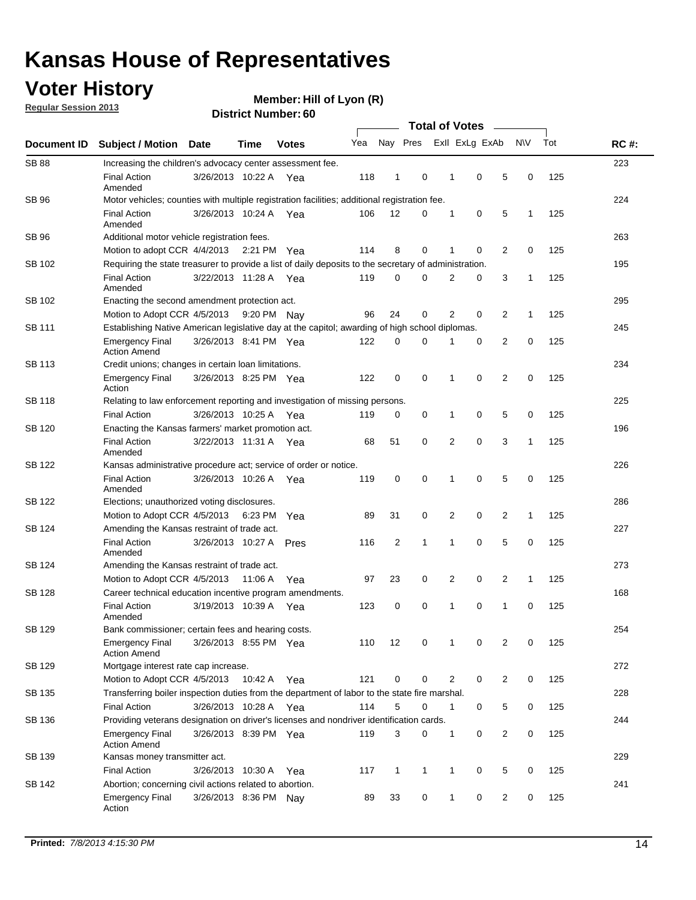## **Voter History**

**Member: Hill of Lyon (R)** 

**Regular Session 2013**

|                    |                                                                                                       | טט . וסעווווט <del>כ</del> ו שו ווסוש<br><b>Total of Votes</b>                                 |             |              |     |              |              |  |                |                |                |             |     |             |
|--------------------|-------------------------------------------------------------------------------------------------------|------------------------------------------------------------------------------------------------|-------------|--------------|-----|--------------|--------------|--|----------------|----------------|----------------|-------------|-----|-------------|
| <b>Document ID</b> | <b>Subject / Motion</b>                                                                               | <b>Date</b>                                                                                    | <b>Time</b> | <b>Votes</b> | Yea |              | Nay Pres     |  |                | Exll ExLg ExAb |                | <b>NV</b>   | Tot | <b>RC#:</b> |
| <b>SB 88</b>       | Increasing the children's advocacy center assessment fee.                                             |                                                                                                |             |              |     |              |              |  |                |                |                |             |     | 223         |
|                    | <b>Final Action</b><br>Amended                                                                        | 3/26/2013 10:22 A Yea                                                                          |             |              | 118 | 1            | 0            |  | 1              | 0              | 5              | 0           | 125 |             |
| SB 96              | Motor vehicles; counties with multiple registration facilities; additional registration fee.          |                                                                                                |             |              |     |              |              |  |                |                |                |             |     | 224         |
|                    | <b>Final Action</b><br>Amended                                                                        | 3/26/2013 10:24 A                                                                              |             | Yea          | 106 | 12           | 0            |  | 1              | 0              | 5              | 1           | 125 |             |
| SB 96              | Additional motor vehicle registration fees.                                                           |                                                                                                |             |              |     |              |              |  |                |                |                |             |     | 263         |
|                    | Motion to adopt CCR 4/4/2013 2:21 PM Yea                                                              |                                                                                                |             |              | 114 | 8            | 0            |  | 1              | 0              | 2              | 0           | 125 |             |
| SB 102             | Requiring the state treasurer to provide a list of daily deposits to the secretary of administration. |                                                                                                |             |              |     |              |              |  |                |                |                |             |     | 195         |
|                    | <b>Final Action</b><br>Amended                                                                        | 3/22/2013 11:28 A Yea                                                                          |             |              | 119 | 0            | 0            |  | 2              | 0              | 3              | 1           | 125 |             |
| SB 102             | Enacting the second amendment protection act.                                                         |                                                                                                |             |              |     |              |              |  |                |                |                |             |     | 295         |
|                    | Motion to Adopt CCR 4/5/2013 9:20 PM Nav                                                              |                                                                                                |             |              | 96  | 24           | 0            |  | $\overline{2}$ | 0              | 2              | 1           | 125 |             |
| <b>SB 111</b>      |                                                                                                       | Establishing Native American legislative day at the capitol; awarding of high school diplomas. |             |              |     |              |              |  |                |                |                |             |     |             |
|                    | <b>Emergency Final</b><br><b>Action Amend</b>                                                         | 3/26/2013 8:41 PM Yea                                                                          |             |              | 122 | 0            | 0            |  |                | 0              | 2              | 0           | 125 |             |
| <b>SB 113</b>      | Credit unions; changes in certain loan limitations.                                                   |                                                                                                |             |              |     |              |              |  |                |                |                |             |     | 234         |
|                    | <b>Emergency Final</b><br>Action                                                                      | 3/26/2013 8:25 PM Yea                                                                          |             |              | 122 | 0            | 0            |  | 1              | $\mathbf 0$    | 2              | $\mathbf 0$ | 125 |             |
| <b>SB 118</b>      | Relating to law enforcement reporting and investigation of missing persons.                           |                                                                                                |             |              |     |              |              |  |                |                |                |             |     | 225         |
|                    | <b>Final Action</b>                                                                                   | 3/26/2013 10:25 A                                                                              |             | Yea          | 119 | 0            | 0            |  | 1              | 0              | 5              | 0           | 125 |             |
| SB 120             | Enacting the Kansas farmers' market promotion act.                                                    |                                                                                                |             |              |     |              |              |  |                |                |                |             |     | 196         |
|                    | <b>Final Action</b><br>Amended                                                                        | 3/22/2013 11:31 A Yea                                                                          |             |              | 68  | 51           | 0            |  | 2              | $\mathbf 0$    | 3              | 1           | 125 |             |
| SB 122             | Kansas administrative procedure act; service of order or notice.                                      |                                                                                                |             |              |     |              |              |  |                |                |                |             |     | 226         |
|                    | <b>Final Action</b><br>Amended                                                                        | 3/26/2013 10:26 A Yea                                                                          |             |              | 119 | 0            | 0            |  | 1              | 0              | 5              | 0           | 125 |             |
| <b>SB 122</b>      | Elections; unauthorized voting disclosures.                                                           |                                                                                                |             |              |     |              |              |  |                |                |                |             |     | 286         |
|                    | Motion to Adopt CCR 4/5/2013                                                                          |                                                                                                | 6:23 PM     | Yea          | 89  | 31           | 0            |  | 2              | 0              | $\overline{c}$ | 1           | 125 |             |
| SB 124             | Amending the Kansas restraint of trade act.                                                           |                                                                                                |             |              |     |              |              |  |                |                |                |             |     | 227         |
|                    | <b>Final Action</b><br>Amended                                                                        | 3/26/2013 10:27 A                                                                              |             | Pres         | 116 | 2            | 1            |  | 1              | $\mathbf 0$    | 5              | $\mathbf 0$ | 125 |             |
| SB 124             | Amending the Kansas restraint of trade act.                                                           |                                                                                                |             |              |     |              |              |  |                |                |                |             |     | 273         |
|                    | Motion to Adopt CCR 4/5/2013                                                                          |                                                                                                | 11:06 A     | Yea          | 97  | 23           | 0            |  | 2              | $\mathbf 0$    | 2              | 1           | 125 |             |
| SB 128             | Career technical education incentive program amendments.                                              |                                                                                                |             |              |     |              |              |  |                |                |                |             |     | 168         |
|                    | <b>Final Action</b><br>Amended                                                                        | 3/19/2013 10:39 A                                                                              |             | Yea          | 123 | 0            | 0            |  | 1              | 0              | 1              | 0           | 125 |             |
| SB 129             | Bank commissioner; certain fees and hearing costs.                                                    |                                                                                                |             |              |     |              |              |  |                |                |                |             |     | 254         |
|                    | <b>Emergency Final</b><br><b>Action Amend</b>                                                         | 3/26/2013 8:55 PM Yea                                                                          |             |              | 110 | 12           | 0            |  | 1              | 0              | $\overline{2}$ | 0           | 125 |             |
| <b>SB 129</b>      | Mortgage interest rate cap increase.                                                                  |                                                                                                |             |              |     |              |              |  |                |                |                |             |     | 272         |
|                    | Motion to Adopt CCR 4/5/2013                                                                          |                                                                                                | 10:42 A Yea |              | 121 | $\mathbf 0$  | 0            |  | 2              | 0              | 2              | 0           | 125 |             |
| SB 135             | Transferring boiler inspection duties from the department of labor to the state fire marshal.         |                                                                                                |             |              |     |              |              |  |                |                |                |             |     | 228         |
|                    | <b>Final Action</b>                                                                                   | 3/26/2013 10:28 A Yea                                                                          |             |              | 114 | 5            | 0            |  | 1              | 0              | 5              | 0           | 125 |             |
| SB 136             | Providing veterans designation on driver's licenses and nondriver identification cards.               |                                                                                                |             |              |     |              |              |  |                |                |                |             |     | 244         |
|                    | <b>Emergency Final</b><br><b>Action Amend</b>                                                         | 3/26/2013 8:39 PM Yea                                                                          |             |              | 119 | 3            | 0            |  | $\mathbf{1}$   | 0              | 2              | 0           | 125 |             |
| SB 139             | Kansas money transmitter act.                                                                         |                                                                                                |             |              |     |              |              |  |                |                |                |             |     | 229         |
|                    | <b>Final Action</b>                                                                                   | 3/26/2013 10:30 A Yea                                                                          |             |              | 117 | $\mathbf{1}$ | $\mathbf{1}$ |  | 1              | 0              | 5              | 0           | 125 |             |
| SB 142             | Abortion; concerning civil actions related to abortion.                                               |                                                                                                |             |              |     |              |              |  |                |                |                |             |     | 241         |
|                    | <b>Emergency Final</b><br>Action                                                                      | 3/26/2013 8:36 PM Nay                                                                          |             |              | 89  | 33           | 0            |  | $\mathbf{1}$   | 0              | $\overline{2}$ | 0           | 125 |             |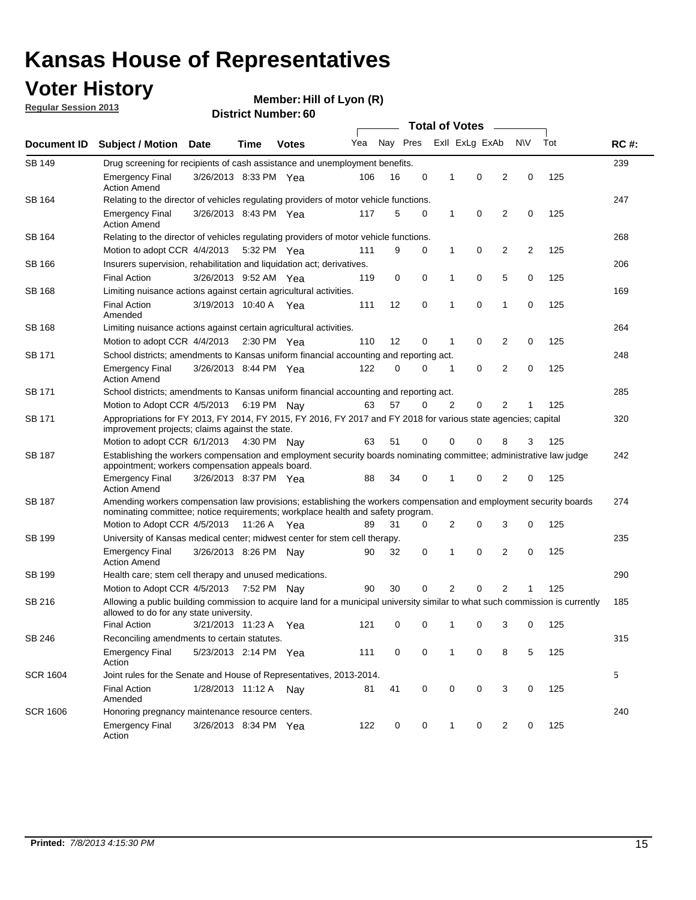## **Voter History**

**Member: Hill of Lyon (R)** 

**Regular Session 2013**

| Document ID     |                                                                                                                                                                                                       |                                                                                                   |             |                       |     | <b>Total of Votes</b><br>$\overline{\phantom{a}}$ |   |              |                |                |           |     |             |  |  |  |  |  |  |  |
|-----------------|-------------------------------------------------------------------------------------------------------------------------------------------------------------------------------------------------------|---------------------------------------------------------------------------------------------------|-------------|-----------------------|-----|---------------------------------------------------|---|--------------|----------------|----------------|-----------|-----|-------------|--|--|--|--|--|--|--|
|                 | <b>Subject / Motion</b>                                                                                                                                                                               | <b>Date</b>                                                                                       | Time        | <b>Votes</b>          | Yea | Nay Pres                                          |   |              | Exll ExLg ExAb |                | <b>NV</b> | Tot | <b>RC#:</b> |  |  |  |  |  |  |  |
| <b>SB 149</b>   | Drug screening for recipients of cash assistance and unemployment benefits.                                                                                                                           |                                                                                                   |             |                       |     |                                                   |   |              |                |                |           |     | 239         |  |  |  |  |  |  |  |
|                 | <b>Emergency Final</b><br><b>Action Amend</b>                                                                                                                                                         | 3/26/2013 8:33 PM Yea                                                                             |             |                       | 106 | 16                                                | 0 | 1            | 0              | 2              | 0         | 125 |             |  |  |  |  |  |  |  |
| SB 164          | Relating to the director of vehicles regulating providers of motor vehicle functions.                                                                                                                 |                                                                                                   |             |                       |     |                                                   |   |              |                |                |           |     | 247         |  |  |  |  |  |  |  |
|                 | <b>Emergency Final</b><br><b>Action Amend</b>                                                                                                                                                         | 3/26/2013 8:43 PM Yea                                                                             |             |                       | 117 | 5                                                 | 0 | 1            | 0              | $\overline{2}$ | 0         | 125 |             |  |  |  |  |  |  |  |
| SB 164          | Relating to the director of vehicles regulating providers of motor vehicle functions.                                                                                                                 |                                                                                                   |             |                       |     |                                                   |   |              |                |                |           |     | 268         |  |  |  |  |  |  |  |
|                 | Motion to adopt CCR 4/4/2013 5:32 PM Yea                                                                                                                                                              |                                                                                                   |             |                       | 111 | 9                                                 | 0 | $\mathbf{1}$ | 0              | 2              | 2         | 125 |             |  |  |  |  |  |  |  |
| SB 166          | Insurers supervision, rehabilitation and liquidation act; derivatives.                                                                                                                                |                                                                                                   |             |                       |     |                                                   |   |              |                |                |           | 206 |             |  |  |  |  |  |  |  |
|                 | <b>Final Action</b>                                                                                                                                                                                   | 3/26/2013 9:52 AM Yea                                                                             |             |                       | 119 | 0                                                 | 0 | 1            | 0              | 5              | 0         | 125 |             |  |  |  |  |  |  |  |
| SB 168          | Limiting nuisance actions against certain agricultural activities.                                                                                                                                    |                                                                                                   |             |                       |     |                                                   |   |              |                |                |           |     | 169         |  |  |  |  |  |  |  |
|                 | Final Action<br>Amended                                                                                                                                                                               | 3/19/2013 10:40 A Yea                                                                             |             |                       | 111 | 12                                                | 0 | 1            | 0              | 1              | 0         | 125 |             |  |  |  |  |  |  |  |
| <b>SB 168</b>   | Limiting nuisance actions against certain agricultural activities.                                                                                                                                    |                                                                                                   |             |                       |     |                                                   |   |              |                |                |           |     | 264         |  |  |  |  |  |  |  |
|                 | Motion to adopt CCR 4/4/2013                                                                                                                                                                          |                                                                                                   |             | $2:30 \text{ PM}$ Yea | 110 | 12                                                | 0 | 1            | 0              | 2              | 0         | 125 |             |  |  |  |  |  |  |  |
| SB 171          | School districts; amendments to Kansas uniform financial accounting and reporting act.                                                                                                                |                                                                                                   |             |                       |     |                                                   |   |              |                |                |           |     | 248         |  |  |  |  |  |  |  |
|                 | <b>Emergency Final</b><br><b>Action Amend</b>                                                                                                                                                         | 3/26/2013 8:44 PM Yea                                                                             |             |                       | 122 | 0                                                 | 0 | 1            | 0              | $\overline{2}$ | 0         | 125 |             |  |  |  |  |  |  |  |
| SB 171          | School districts; amendments to Kansas uniform financial accounting and reporting act.                                                                                                                |                                                                                                   |             |                       |     |                                                   |   |              |                |                |           |     | 285         |  |  |  |  |  |  |  |
|                 |                                                                                                                                                                                                       | 57<br>$\overline{2}$<br>0<br>2<br>125<br>Motion to Adopt CCR 4/5/2013 6:19 PM Nay<br>63<br>0<br>1 |             |                       |     |                                                   |   |              |                |                |           |     |             |  |  |  |  |  |  |  |
| SB 171          | Appropriations for FY 2013, FY 2014, FY 2015, FY 2016, FY 2017 and FY 2018 for various state agencies; capital<br>improvement projects; claims against the state.                                     |                                                                                                   |             |                       |     |                                                   |   |              |                |                |           |     | 320         |  |  |  |  |  |  |  |
|                 | Motion to adopt CCR 6/1/2013 4:30 PM Nay                                                                                                                                                              |                                                                                                   |             |                       | 63  | 51                                                | 0 | 0            | 0              | 8              | 3         | 125 |             |  |  |  |  |  |  |  |
| SB 187          | Establishing the workers compensation and employment security boards nominating committee; administrative law judge<br>appointment; workers compensation appeals board.                               |                                                                                                   |             |                       |     |                                                   |   |              |                |                |           | 242 |             |  |  |  |  |  |  |  |
|                 | <b>Emergency Final</b><br><b>Action Amend</b>                                                                                                                                                         | 3/26/2013 8:37 PM Yea                                                                             |             |                       | 88  | 34                                                | 0 | 1            | 0              | 2              | 0         | 125 |             |  |  |  |  |  |  |  |
| SB 187          | Amending workers compensation law provisions; establishing the workers compensation and employment security boards<br>nominating committee; notice requirements; workplace health and safety program. |                                                                                                   |             |                       |     |                                                   |   |              |                |                |           |     | 274         |  |  |  |  |  |  |  |
|                 | Motion to Adopt CCR 4/5/2013 11:26 A Yea                                                                                                                                                              |                                                                                                   |             |                       | 89  | 31                                                | 0 | 2            | 0              | 3              | 0         | 125 |             |  |  |  |  |  |  |  |
| SB 199          | University of Kansas medical center; midwest center for stem cell therapy.                                                                                                                            |                                                                                                   |             |                       |     |                                                   |   |              |                |                |           |     | 235         |  |  |  |  |  |  |  |
|                 | Emergency Final<br><b>Action Amend</b>                                                                                                                                                                | 3/26/2013 8:26 PM Nay                                                                             |             |                       | 90  | 32                                                | 0 | 1            | 0              | $\overline{2}$ | 0         | 125 |             |  |  |  |  |  |  |  |
| SB 199          | Health care; stem cell therapy and unused medications.                                                                                                                                                |                                                                                                   |             |                       |     |                                                   |   |              |                |                |           |     | 290         |  |  |  |  |  |  |  |
|                 | Motion to Adopt CCR 4/5/2013                                                                                                                                                                          |                                                                                                   | 7:52 PM Nay |                       | 90  | 30                                                | 0 | 2            | 0              | 2              | 1         | 125 |             |  |  |  |  |  |  |  |
| SB 216          | Allowing a public building commission to acquire land for a municipal university similar to what such commission is currently<br>allowed to do for any state university.                              |                                                                                                   |             |                       |     |                                                   |   |              |                |                |           |     | 185         |  |  |  |  |  |  |  |
|                 | <b>Final Action</b>                                                                                                                                                                                   | 3/21/2013 11:23 A                                                                                 |             | Yea                   | 121 | 0                                                 | 0 | 1            | 0              | 3              | 0         | 125 |             |  |  |  |  |  |  |  |
| SB 246          | Reconciling amendments to certain statutes.                                                                                                                                                           |                                                                                                   |             |                       |     |                                                   |   |              |                |                |           |     | 315         |  |  |  |  |  |  |  |
|                 | <b>Emergency Final</b><br>Action                                                                                                                                                                      | 5/23/2013 2:14 PM Yea                                                                             |             |                       | 111 | 0                                                 | 0 | 1            | 0              | 8              | 5         | 125 |             |  |  |  |  |  |  |  |
| <b>SCR 1604</b> | Joint rules for the Senate and House of Representatives, 2013-2014.                                                                                                                                   |                                                                                                   |             |                       |     |                                                   |   |              |                |                |           |     | 5           |  |  |  |  |  |  |  |
|                 | <b>Final Action</b><br>Amended                                                                                                                                                                        | 1/28/2013 11:12 A Nay                                                                             |             |                       | 81  | 41                                                | 0 | 0            | 0              | 3              | 0         | 125 |             |  |  |  |  |  |  |  |
| <b>SCR 1606</b> | Honoring pregnancy maintenance resource centers.                                                                                                                                                      |                                                                                                   |             |                       |     |                                                   |   |              |                |                |           |     | 240         |  |  |  |  |  |  |  |
|                 | <b>Emergency Final</b><br>Action                                                                                                                                                                      | 3/26/2013 8:34 PM Yea                                                                             |             |                       | 122 | 0                                                 | 0 | 1            | 0              | 2              | 0         | 125 |             |  |  |  |  |  |  |  |